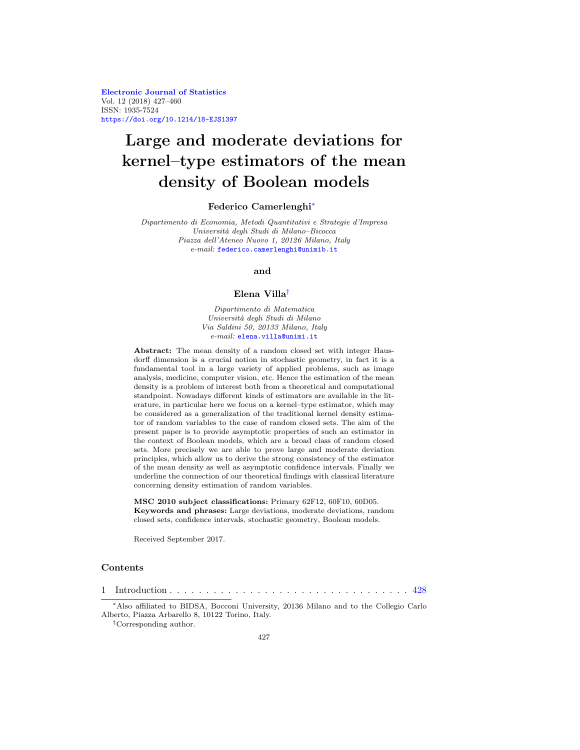**[Electronic Journal of Statistics](http://projecteuclid.org/ejs)** Vol. 12 (2018) 427–460 ISSN: 1935-7524 <https://doi.org/10.1214/18-EJS1397>

# **Large and moderate deviations for kernel–type estimators of the mean density of Boolean models**

#### **Federico Camerlenghi**[∗](#page-0-0)

Dipartimento di Economia, Metodi Quantitativi e Strategie d'Impresa Universit`a degli Studi di Milano–Bicocca Piazza dell'Ateneo Nuovo 1, 20126 Milano, Italy e-mail: [federico.camerlenghi@unimib.it](mailto:federico.camerlenghi@unimib.it)

#### **and**

## **Elena Villa**[†](#page-0-1)

Dipartimento di Matematica Universit`a degli Studi di Milano Via Saldini 50, 20133 Milano, Italy  $e\text{-}mail:$ [elena.villa@unimi.it](mailto:elena.villa@unimi.it)

**Abstract:** The mean density of a random closed set with integer Hausdorff dimension is a crucial notion in stochastic geometry, in fact it is a fundamental tool in a large variety of applied problems, such as image analysis, medicine, computer vision, etc. Hence the estimation of the mean density is a problem of interest both from a theoretical and computational standpoint. Nowadays different kinds of estimators are available in the literature, in particular here we focus on a kernel–type estimator, which may be considered as a generalization of the traditional kernel density estimator of random variables to the case of random closed sets. The aim of the present paper is to provide asymptotic properties of such an estimator in the context of Boolean models, which are a broad class of random closed sets. More precisely we are able to prove large and moderate deviation principles, which allow us to derive the strong consistency of the estimator of the mean density as well as asymptotic confidence intervals. Finally we underline the connection of our theoretical findings with classical literature concerning density estimation of random variables.

**MSC 2010 subject classifications:** Primary 62F12, 60F10, 60D05. **Keywords and phrases:** Large deviations, moderate deviations, random closed sets, confidence intervals, stochastic geometry, Boolean models.

Received September 2017.

#### **Contents**

1 Introduction . . . . . . . . . . . . . . . . . . . . . . . . . . . . . . . . . [428](#page-1-0)

<span id="page-0-0"></span><sup>∗</sup>Also affiliated to BIDSA, Bocconi University, 20136 Milano and to the Collegio Carlo Alberto, Piazza Arbarello 8, 10122 Torino, Italy.

<span id="page-0-1"></span><sup>†</sup>Corresponding author.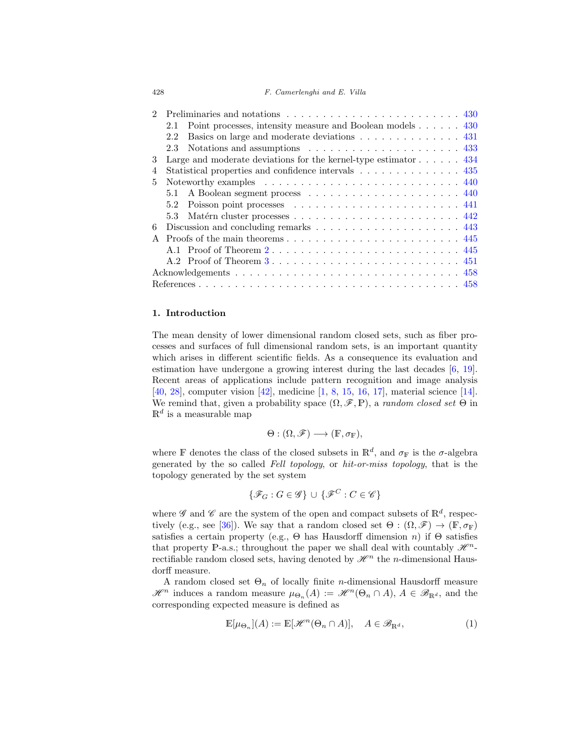## 428 F. Camerlenghi and E. Villa

|   | Point processes, intensity measure and Boolean models 430<br>2.1                        |
|---|-----------------------------------------------------------------------------------------|
|   | Basics on large and moderate deviations 431<br>2.2                                      |
|   | Notations and assumptions $\ldots \ldots \ldots \ldots \ldots \ldots \ldots$ 433<br>2.3 |
| 3 | Large and moderate deviations for the kernel-type estimator $\dots \dots$ 434           |
| 4 | Statistical properties and confidence intervals 435                                     |
| 5 |                                                                                         |
|   | 5.1                                                                                     |
|   | 5.2                                                                                     |
|   | 5.3                                                                                     |
| 6 |                                                                                         |
|   |                                                                                         |
|   | A.1 Proof of Theorem 2 445                                                              |
|   |                                                                                         |
|   |                                                                                         |
|   |                                                                                         |
|   |                                                                                         |

## <span id="page-1-0"></span>**1. Introduction**

The mean density of lower dimensional random closed sets, such as fiber processes and surfaces of full dimensional random sets, is an important quantity which arises in different scientific fields. As a consequence its evaluation and estimation have undergone a growing interest during the last decades [\[6,](#page-31-2) [19\]](#page-32-0). Recent areas of applications include pattern recognition and image analysis [\[40](#page-33-0), [28\]](#page-32-1), computer vision [\[42\]](#page-33-1), medicine [\[1,](#page-31-3) [8,](#page-31-4) [15](#page-32-2), [16,](#page-32-3) [17\]](#page-32-4), material science [\[14\]](#page-32-5). We remind that, given a probability space  $(\Omega, \mathscr{F}, \mathbb{P})$ , a *random closed set*  $\Theta$  in  $\mathbb{R}^d$  is a measurable map

$$
\Theta: (\Omega, \mathscr{F}) \longrightarrow (\mathbb{F}, \sigma_{\mathbb{F}}),
$$

where F denotes the class of the closed subsets in  $\mathbb{R}^d$ , and  $\sigma_F$  is the  $\sigma$ -algebra generated by the so called Fell topology, or hit-or-miss topology, that is the topology generated by the set system

$$
\{\mathscr{F}_G: G \in \mathscr{G}\} \cup \{\mathscr{F}^C: C \in \mathscr{C}\}
$$

where  $\mathscr G$  and  $\mathscr C$  are the system of the open and compact subsets of  $\mathbb R^d$ , respec-tively (e.g., see [\[36\]](#page-33-2)). We say that a random closed set  $\Theta : (\Omega, \mathscr{F}) \to (\mathbb{F}, \sigma_{\mathbb{F}})$ satisfies a certain property (e.g.,  $\Theta$  has Hausdorff dimension n) if  $\Theta$  satisfies that property P-a.s.; throughout the paper we shall deal with countably  $\mathscr{H}^n$ rectifiable random closed sets, having denoted by  $\mathcal{H}^n$  the *n*-dimensional Hausdorff measure.

A random closed set  $\Theta_n$  of locally finite *n*-dimensional Hausdorff measure  $\mathscr{H}^n$  induces a random measure  $\mu_{\Theta_n}(A) := \mathscr{H}^n(\Theta_n \cap A), A \in \mathscr{B}_{\mathbb{R}^d}$ , and the corresponding expected measure is defined as

<span id="page-1-1"></span>
$$
\mathbb{E}[\mu_{\Theta_n}](A) := \mathbb{E}[\mathcal{H}^n(\Theta_n \cap A)], \quad A \in \mathscr{B}_{\mathbb{R}^d},\tag{1}
$$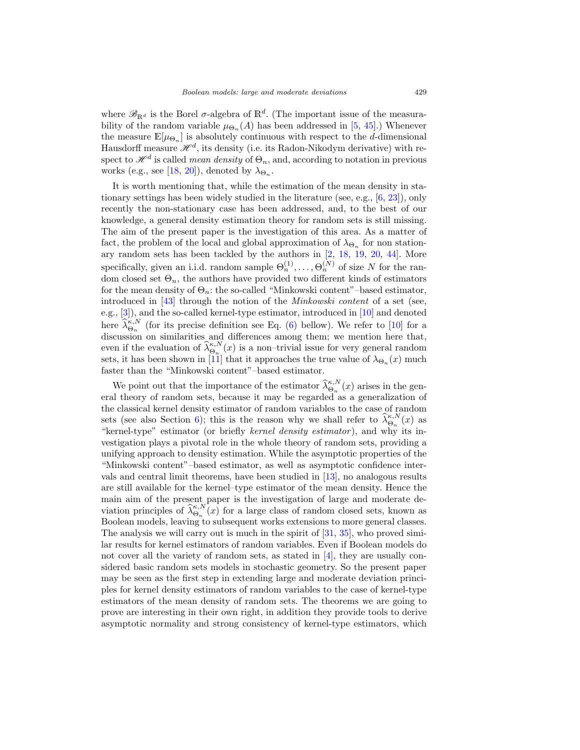where  $\mathscr{B}_{\mathbb{R}^d}$  is the Borel  $\sigma$ -algebra of  $\mathbb{R}^d$ . (The important issue of the measurability of the random variable  $\mu_{\Theta_n}(A)$  has been addressed in [\[5](#page-31-5), [45](#page-33-3)].) Whenever the measure  $\mathbb{E}[\mu_{\Theta_n}]$  is absolutely continuous with respect to the d-dimensional Hausdorff measure  $\mathcal{H}^d$ , its density (i.e. its Radon-Nikodym derivative) with respect to  $\mathscr{H}^d$  is called *mean density* of  $\Theta_n$ , and, according to notation in previous works (e.g., see [\[18,](#page-32-6) [20\]](#page-32-7)), denoted by  $\lambda_{\Theta_n}$ .

It is worth mentioning that, while the estimation of the mean density in stationary settings has been widely studied in the literature (see, e.g., [\[6](#page-31-2), [23\]](#page-32-8)), only recently the non-stationary case has been addressed, and, to the best of our knowledge, a general density estimation theory for random sets is still missing. The aim of the present paper is the investigation of this area. As a matter of fact, the problem of the local and global approximation of  $\lambda_{\Theta_n}$  for non stationary random sets has been tackled by the authors in [\[2,](#page-31-6) [18,](#page-32-6) [19,](#page-32-0) [20,](#page-32-7) [44](#page-33-4)]. More specifically, given an i.i.d. random sample  $\Theta_n^{(1)}, \ldots, \Theta_n^{(N)}$  of size N for the random closed set  $\Theta_n$ , the authors have provided two different kinds of estimators for the mean density of  $\Theta_n$ : the so-called "Minkowski content"–based estimator, introduced in  $[43]$  through the notion of the *Minkowski content* of a set (see, e.g., [\[3\]](#page-31-7)), and the so-called kernel-type estimator, introduced in [\[10](#page-31-8)] and denoted here  $\hat{\lambda}_{\Theta_n}^{\kappa,N}$  (for its precise definition see Eq. [\(6\)](#page-7-1) bellow). We refer to [\[10](#page-31-8)] for a discussion on similarities and differences among them; we mention here that, even if the evaluation of  $\hat{\lambda}_{\Theta_{n}}^{\kappa,N}(x)$  is a non–trivial issue for very general random sets, it has been shown in [\[11\]](#page-31-9) that it approaches the true value of  $\lambda_{\Theta_n}(x)$  much faster than the "Minkowski content"–based estimator.

We point out that the importance of the estimator  $\hat{\lambda}_{\Theta_n}^{\kappa,N}(x)$  arises in the general theory of random sets, because it may be regarded as a generalization of the classical kernel density estimator of random variables to the case of random sets (see also Section [6\)](#page-16-0); this is the reason why we shall refer to  $\hat{\lambda}_{\Theta_n}^{\kappa,N}(x)$  as "kernel-type" estimator (or briefly kernel density estimator), and why its investigation plays a pivotal role in the whole theory of random sets, providing a unifying approach to density estimation. While the asymptotic properties of the "Minkowski content"–based estimator, as well as asymptotic confidence intervals and central limit theorems, have been studied in [\[13\]](#page-32-9), no analogous results are still available for the kernel–type estimator of the mean density. Hence the main aim of the present paper is the investigation of large and moderate deviation principles of  $\hat{\lambda}_{\Theta_n}^{\kappa,N}(x)$  for a large class of random closed sets, known as Boolean models, leaving to subsequent works extensions to more general classes. The analysis we will carry out is much in the spirit of [\[31,](#page-33-6) [35](#page-33-7)], who proved similar results for kernel estimators of random variables. Even if Boolean models do not cover all the variety of random sets, as stated in [\[4](#page-31-10)], they are usually considered basic random sets models in stochastic geometry. So the present paper may be seen as the first step in extending large and moderate deviation principles for kernel density estimators of random variables to the case of kernel-type estimators of the mean density of random sets. The theorems we are going to prove are interesting in their own right, in addition they provide tools to derive asymptotic normality and strong consistency of kernel-type estimators, which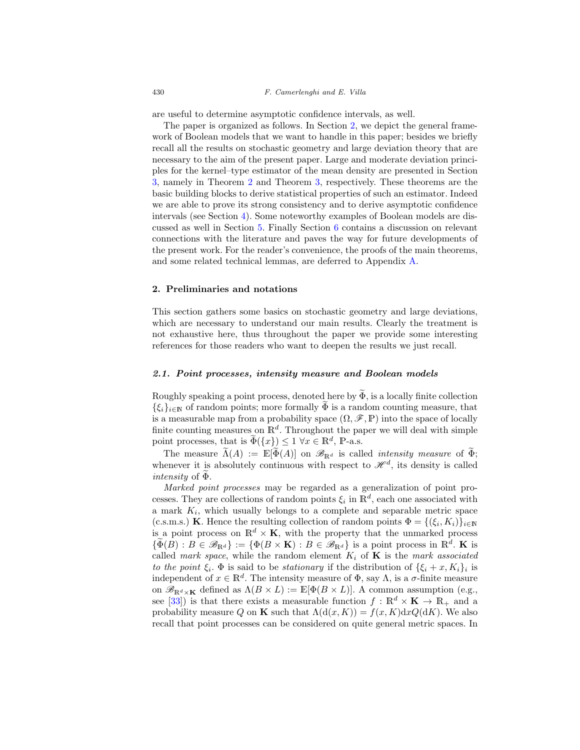are useful to determine asymptotic confidence intervals, as well.

The paper is organized as follows. In Section [2,](#page-3-0) we depict the general framework of Boolean models that we want to handle in this paper; besides we briefly recall all the results on stochastic geometry and large deviation theory that are necessary to the aim of the present paper. Large and moderate deviation principles for the kernel–type estimator of the mean density are presented in Section [3,](#page-7-0) namely in Theorem [2](#page-8-1) and Theorem [3,](#page-8-2) respectively. These theorems are the basic building blocks to derive statistical properties of such an estimator. Indeed we are able to prove its strong consistency and to derive asymptotic confidence intervals (see Section [4\)](#page-8-0). Some noteworthy examples of Boolean models are discussed as well in Section [5.](#page-13-0) Finally Section [6](#page-16-0) contains a discussion on relevant connections with the literature and paves the way for future developments of the present work. For the reader's convenience, the proofs of the main theorems, and some related technical lemmas, are deferred to Appendix [A.](#page-18-0)

#### <span id="page-3-0"></span>**2. Preliminaries and notations**

This section gathers some basics on stochastic geometry and large deviations, which are necessary to understand our main results. Clearly the treatment is not exhaustive here, thus throughout the paper we provide some interesting references for those readers who want to deepen the results we just recall.

## <span id="page-3-1"></span>*2.1. Point processes, intensity measure and Boolean models*

Roughly speaking a point process, denoted here by  $\widetilde{\Phi}$ , is a locally finite collection  $\{\xi_i\}_{i\in\mathbb{N}}$  of random points; more formally  $\Phi$  is a random counting measure, that is a measurable map from a probability space  $(\Omega, \mathscr{F}, \mathbb{P})$  into the space of locally finite counting measures on  $\mathbb{R}^d$ . Throughout the paper we will deal with simple point processes, that is  $\Phi({x}) \leq 1 \ \forall x \in \mathbb{R}^d$ , P-a.s.

The measure  $\widetilde{\Lambda}(A) := \mathbb{E}[\widetilde{\Phi}(A)]$  on  $\mathscr{B}_{\mathbb{R}^d}$  is called *intensity measure* of  $\widetilde{\Phi}$ ; whenever it is absolutely continuous with respect to  $\mathscr{H}^d$ , its density is called intensity of Φ.

Marked point processes may be regarded as a generalization of point processes. They are collections of random points  $\xi_i$  in  $\mathbb{R}^d$ , each one associated with a mark  $K_i$ , which usually belongs to a complete and separable metric space (c.s.m.s.) **K**. Hence the resulting collection of random points  $\Phi = \{(\xi_i, K_i)\}_{i\in\mathbb{N}}$ is a point process on  $\mathbb{R}^d \times \mathbf{K}$ , with the property that the unmarked process  ${\{\Phi(B) : B \in \mathscr{B}_{\mathbb{R}^d}\}} := {\{\Phi(B \times \mathbf{K}) : B \in \mathscr{B}_{\mathbb{R}^d}\}}$  is a point process in  $\mathbb{R}^d$ . **K** is called mark space, while the random element  $K_i$  of **K** is the mark associated to the point  $\xi_i$ .  $\Phi$  is said to be stationary if the distribution of  $\{\xi_i + x, K_i\}_i$  is independent of  $x \in \mathbb{R}^d$ . The intensity measure of  $\Phi$ , say  $\Lambda$ , is a  $\sigma$ -finite measure on  $\mathscr{B}_{\mathbb{R}^d\times\mathbf{K}}$  defined as  $\Lambda(B\times L):=\mathbb{E}[\Phi(B\times L)]$ . A common assumption (e.g., see [\[33](#page-33-8)]) is that there exists a measurable function  $f : \mathbb{R}^d \times \mathbf{K} \to \mathbb{R}_+$  and a probability measure Q on **K** such that  $\Lambda(d(x, K)) = f(x, K)dxQ(dK)$ . We also recall that point processes can be considered on quite general metric spaces. In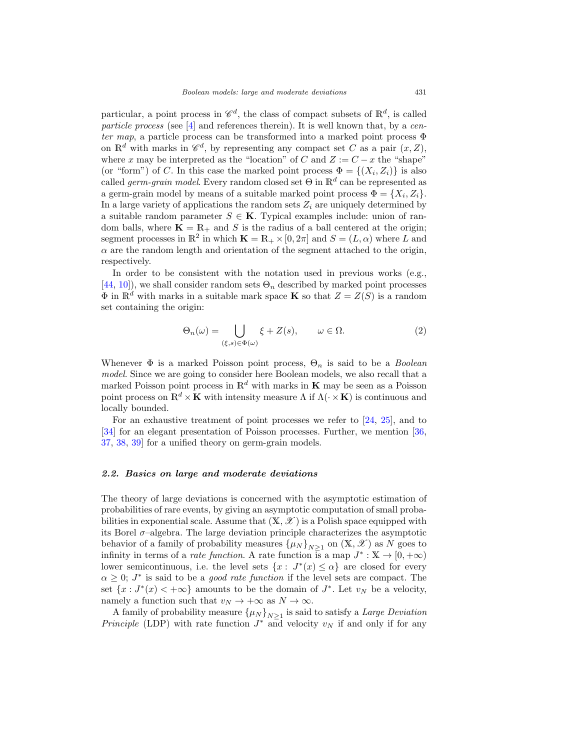particular, a point process in  $\mathscr{C}_d$ , the class of compact subsets of  $\mathbb{R}^d$ , is called particle process (see [\[4\]](#page-31-10) and references therein). It is well known that, by a center map, a particle process can be transformed into a marked point process  $\Phi$ on  $\mathbb{R}^d$  with marks in  $\mathscr{C}^d$ , by representing any compact set C as a pair  $(x, Z)$ , where x may be interpreted as the "location" of C and  $Z := C - x$  the "shape" (or "form") of C. In this case the marked point process  $\Phi = \{(X_i, Z_i)\}\$ is also called *germ-grain model*. Every random closed set  $\Theta$  in  $\mathbb{R}^d$  can be represented as a germ-grain model by means of a suitable marked point process  $\Phi = \{X_i, Z_i\}.$ In a large variety of applications the random sets  $Z_i$  are uniquely determined by a suitable random parameter  $S \in \mathbf{K}$ . Typical examples include: union of random balls, where  $\mathbf{K} = \mathbb{R}_+$  and S is the radius of a ball centered at the origin; segment processes in  $\mathbb{R}^2$  in which  $\mathbf{K} = \mathbb{R}_+ \times [0, 2\pi]$  and  $S = (L, \alpha)$  where L and  $\alpha$  are the random length and orientation of the segment attached to the origin, respectively.

In order to be consistent with the notation used in previous works (e.g.,  $[44, 10]$  $[44, 10]$  $[44, 10]$  $[44, 10]$ , we shall consider random sets  $\Theta_n$  described by marked point processes  $\Phi$  in  $\mathbb{R}^d$  with marks in a suitable mark space **K** so that  $Z = Z(S)$  is a random set containing the origin:

<span id="page-4-1"></span>
$$
\Theta_n(\omega) = \bigcup_{(\xi,s)\in\Phi(\omega)} \xi + Z(s), \qquad \omega \in \Omega.
$$
 (2)

Whenever  $\Phi$  is a marked Poisson point process,  $\Theta_n$  is said to be a *Boolean* model. Since we are going to consider here Boolean models, we also recall that a marked Poisson point process in  $\mathbb{R}^d$  with marks in **K** may be seen as a Poisson point process on  $\mathbb{R}^d \times \mathbf{K}$  with intensity measure  $\Lambda$  if  $\Lambda(\cdot \times \mathbf{K})$  is continuous and locally bounded.

For an exhaustive treatment of point processes we refer to [\[24](#page-32-10), [25](#page-32-11)], and to [\[34\]](#page-33-9) for an elegant presentation of Poisson processes. Further, we mention [\[36,](#page-33-2) [37,](#page-33-10) [38,](#page-33-11) [39\]](#page-33-12) for a unified theory on germ-grain models.

## <span id="page-4-0"></span>*2.2. Basics on large and moderate deviations*

The theory of large deviations is concerned with the asymptotic estimation of probabilities of rare events, by giving an asymptotic computation of small probabilities in exponential scale. Assume that  $(\mathbb{X}, \mathscr{X})$  is a Polish space equipped with its Borel  $\sigma$ -algebra. The large deviation principle characterizes the asymptotic behavior of a family of probability measures  $\{\mu_N\}_{N>1}$  on  $(\mathbb{X}, \mathcal{X})$  as N goes to infinity in terms of a *rate function*. A rate function is a map  $J^* : \mathbb{X} \to [0, +\infty)$ lower semicontinuous, i.e. the level sets  $\{x: J^*(x) \leq \alpha\}$  are closed for every  $\alpha \geq 0$ ;  $J^*$  is said to be a *good rate function* if the level sets are compact. The set  $\{x: J^*(x) < +\infty\}$  amounts to be the domain of  $J^*$ . Let  $v_N$  be a velocity, namely a function such that  $v_N \to +\infty$  as  $N \to \infty$ .

A family of probability measure  $\{\mu_N\}_{N\geq 1}$  is said to satisfy a Large Deviation *Principle* (LDP) with rate function  $J^*$  and velocity  $v_N$  if and only if for any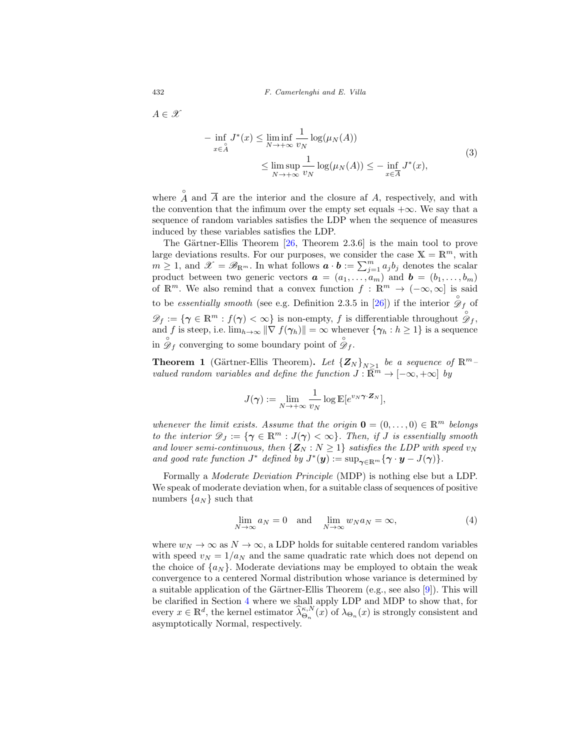432 F. Camerlenghi and E. Villa

<span id="page-5-1"></span> $A \in \mathscr{X}$ 

$$
- \inf_{x \in A} J^*(x) \le \liminf_{N \to +\infty} \frac{1}{v_N} \log(\mu_N(A))
$$
  

$$
\le \limsup_{N \to +\infty} \frac{1}{v_N} \log(\mu_N(A)) \le - \inf_{x \in \overline{A}} J^*(x),
$$
 (3)

where  $\hat{A}$  and  $\overline{A}$  are the interior and the closure af A, respectively, and with the convention that the infimum over the empty set equals  $+\infty$ . We say that a sequence of random variables satisfies the LDP when the sequence of measures induced by these variables satisfies the LDP.

The Gärtner-Ellis Theorem  $[26,$  Theorem 2.3.6 is the main tool to prove large deviations results. For our purposes, we consider the case  $X = \mathbb{R}^m$ , with  $m \geq 1$ , and  $\mathscr{X} = \mathscr{B}_{\mathbb{R}^m}$ . In what follows  $\boldsymbol{a} \cdot \boldsymbol{b} := \sum_{j=1}^m a_j b_j$  denotes the scalar product between two generic vectors  $a = (a_1, \ldots, a_m)$  and  $b = (b_1, \ldots, b_m)$ of  $\mathbb{R}^m$ . We also remind that a convex function  $f : \mathbb{R}^m \to (-\infty, \infty]$  is said to be *essentially smooth* (see e.g. Definition 2.3.5 in [\[26\]](#page-32-12)) if the interior  $\hat{\mathscr{D}}_f$  of  $\mathscr{D}_f := \{ \gamma \in \mathbb{R}^m : f(\gamma) < \infty \}$  is non-empty, f is differentiable throughout  $\overset{\circ}{\mathscr{D}}_f$ , and f is steep, i.e.  $\lim_{h\to\infty} \|\nabla f(\gamma_h)\| = \infty$  whenever  $\{\gamma_h : h \ge 1\}$  is a sequence in  $\overset{\circ}{\mathscr{D}}_f$  converging to some boundary point of  $\overset{\circ}{\mathscr{D}}_f$ .

<span id="page-5-0"></span>**Theorem 1** (Gärtner-Ellis Theorem). Let  ${Z_N}_{N>1}$  be a sequence of  $\mathbb{R}^m$ valued random variables and define the function  $J : \overline{\mathbb{R}}^m \to [-\infty, +\infty]$  by

$$
J(\boldsymbol{\gamma}) := \lim_{N \to +\infty} \frac{1}{v_N} \log \mathbb{E}[e^{v_N \boldsymbol{\gamma} \cdot \mathbf{Z}_N}],
$$

whenever the limit exists. Assume that the origin  $\mathbf{0} = (0, \ldots, 0) \in \mathbb{R}^m$  belongs to the interior  $\mathscr{D}_J := \{ \gamma \in \mathbb{R}^m : J(\gamma) < \infty \}.$  Then, if J is essentially smooth and lower semi-continuous, then  $\{Z_N : N \geq 1\}$  satisfies the LDP with speed  $v_N$ and good rate function  $J^*$  defined by  $J^*(y) := \sup_{\gamma \in \mathbb{R}^m} {\gamma \cdot y - J(\gamma)}$ .

Formally a Moderate Deviation Principle (MDP) is nothing else but a LDP. We speak of moderate deviation when, for a suitable class of sequences of positive numbers  $\{a_N\}$  such that

<span id="page-5-2"></span>
$$
\lim_{N \to \infty} a_N = 0 \quad \text{and} \quad \lim_{N \to \infty} w_N a_N = \infty,
$$
\n(4)

where  $w_N \to \infty$  as  $N \to \infty$ , a LDP holds for suitable centered random variables with speed  $v_N = 1/a_N$  and the same quadratic rate which does not depend on the choice of  $\{a_N\}$ . Moderate deviations may be employed to obtain the weak convergence to a centered Normal distribution whose variance is determined by a suitable application of the Gärtner-Ellis Theorem (e.g., see also [\[9\]](#page-31-11)). This will be clarified in Section [4](#page-8-0) where we shall apply LDP and MDP to show that, for every  $x \in \mathbb{R}^d$ , the kernel estimator  $\hat{\lambda}_{\Theta_n}^{\kappa,N}(x)$  of  $\lambda_{\Theta_n}(x)$  is strongly consistent and asymptotically Normal, respectively.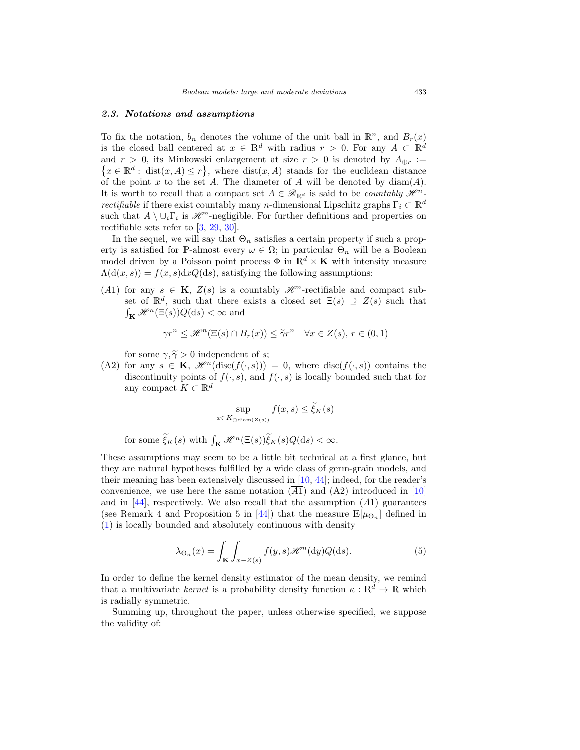## <span id="page-6-0"></span>*2.3. Notations and assumptions*

To fix the notation,  $b_n$  denotes the volume of the unit ball in  $\mathbb{R}^n$ , and  $B_r(x)$ is the closed ball centered at  $x \in \mathbb{R}^d$  with radius  $r > 0$ . For any  $A \subset \mathbb{R}^d$ and  $r > 0$ , its Minkowski enlargement at size  $r > 0$  is denoted by  $A_{\oplus r} :=$  $\{x \in \mathbb{R}^d : \text{dist}(x, A) \leq r\},\$  where  $\text{dist}(x, A)$  stands for the euclidean distance of the point x to the set A. The diameter of A will be denoted by  $\text{diam}(A)$ . It is worth to recall that a compact set  $A \in \mathscr{B}_{\mathbb{R}^d}$  is said to be *countably*  $\mathscr{H}^n$ *rectifiable* if there exist countably many *n*-dimensional Lipschitz graphs  $\Gamma_i \subset \mathbb{R}^d$ such that  $A \setminus \cup_i \Gamma_i$  is  $\mathcal{H}^n$ -negligible. For further definitions and properties on rectifiable sets refer to [\[3](#page-31-7), [29](#page-33-13), [30](#page-33-14)].

In the sequel, we will say that  $\Theta_n$  satisfies a certain property if such a property is satisfied for P-almost every  $\omega \in \Omega$ ; in particular  $\Theta_n$  will be a Boolean model driven by a Poisson point process  $\Phi$  in  $\mathbb{R}^d \times \mathbf{K}$  with intensity measure  $\Lambda(\mathrm{d}(x,s)) = f(x,s) \mathrm{d}x Q(\mathrm{d}s)$ , satisfying the following assumptions:

 $(\overline{A1})$  for any  $s \in \mathbf{K}$ ,  $Z(s)$  is a countably  $\mathscr{H}^n$ -rectifiable and compact subset of  $\mathbb{R}^d$ , such that there exists a closed set  $\Xi(s) \supseteq Z(s)$  such that  $\int_{\mathbf{K}} \mathcal{H}^n(\Xi(s)) Q(\mathrm{d}s) < \infty$  and

$$
\gamma r^n \le \mathcal{H}^n(\Xi(s) \cap B_r(x)) \le \tilde{\gamma} r^n \quad \forall x \in Z(s), r \in (0,1)
$$

for some  $\gamma, \tilde{\gamma} > 0$  independent of s;

(A2) for any  $s \in \mathbf{K}$ ,  $\mathcal{H}^n(\text{disc}(f(\cdot,s))) = 0$ , where disc( $f(\cdot,s)$ ) contains the discontinuity points of  $f(\cdot, s)$ , and  $f(\cdot, s)$  is locally bounded such that for any compact  $K \subset \mathbb{R}^d$ 

$$
\sup_{x \in K_{\text{ediam}(Z(s))}} f(x, s) \le \tilde{\xi}_K(s)
$$

for some  $\widetilde{\xi}_K(s)$  with  $\int_{\mathbf{K}} \mathcal{H}^n(\Xi(s))\widetilde{\xi}_K(s)Q(\mathrm{d}s) < \infty$ .

These assumptions may seem to be a little bit technical at a first glance, but they are natural hypotheses fulfilled by a wide class of germ-grain models, and their meaning has been extensively discussed in [\[10](#page-31-8), [44\]](#page-33-4); indeed, for the reader's convenience, we use here the same notation  $(\overline{A1})$  and  $(A2)$  introduced in [\[10\]](#page-31-8) and in [\[44](#page-33-4)], respectively. We also recall that the assumption  $(\overline{A1})$  guarantees (see Remark 4 and Proposition 5 in [\[44\]](#page-33-4)) that the measure  $\mathbb{E}[\mu_{\Theta_n}]$  defined in [\(1\)](#page-1-1) is locally bounded and absolutely continuous with density

<span id="page-6-1"></span>
$$
\lambda_{\Theta_n}(x) = \int_{\mathbf{K}} \int_{x - Z(s)} f(y, s) \mathcal{H}^n(\mathrm{d}y) Q(\mathrm{d}s). \tag{5}
$$

In order to define the kernel density estimator of the mean density, we remind that a multivariate *kernel* is a probability density function  $\kappa : \mathbb{R}^d \to \mathbb{R}$  which is radially symmetric.

Summing up, throughout the paper, unless otherwise specified, we suppose the validity of: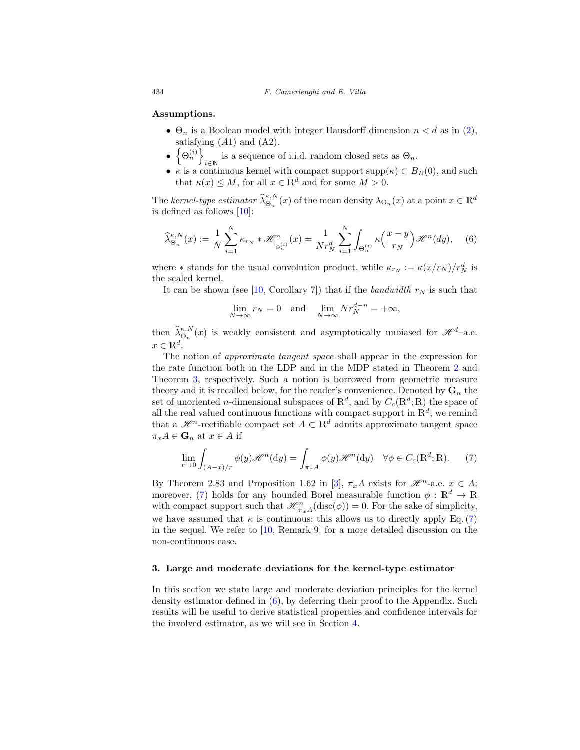**Assumptions.**

- $\Theta_n$  is a Boolean model with integer Hausdorff dimension  $n < d$  as in [\(2\)](#page-4-1), satisfying  $(\overline{A1})$  and  $(A2)$ .
- $\bullet$   $\left\{\Theta_n^{(i)}\right\}$ i∈N is a sequence of i.i.d. random closed sets as  $\Theta_n$ .
- $\kappa$  is a continuous kernel with compact support supp $(\kappa) \subset B_R(0)$ , and such that  $\kappa(x) \leq M$ , for all  $x \in \mathbb{R}^d$  and for some  $M > 0$ .

The kernel-type estimator  $\widehat{\lambda}_{\Theta_n}^{\kappa,N}(x)$  of the mean density  $\lambda_{\Theta_n}(x)$  at a point  $x \in \mathbb{R}^d$ is defined as follows [\[10\]](#page-31-8):

<span id="page-7-1"></span>
$$
\widehat{\lambda}_{\Theta_n}^{\kappa, N}(x) := \frac{1}{N} \sum_{i=1}^N \kappa_{r_N} * \mathcal{H}_{|\Theta_n^{(i)}}^n(x) = \frac{1}{N r_N^d} \sum_{i=1}^N \int_{\Theta_n^{(i)}} \kappa\left(\frac{x-y}{r_N}\right) \mathcal{H}^n(dy), \quad (6)
$$

where  $*$  stands for the usual convolution product, while  $\kappa_{r_N} := \kappa (x/r_N)/r_N^d$  is the scaled kernel.

It can be shown (see [\[10](#page-31-8), Corollary 7]) that if the bandwidth  $r_N$  is such that

$$
\lim_{N \to \infty} r_N = 0 \quad \text{and} \quad \lim_{N \to \infty} N r_N^{d-n} = +\infty,
$$

then  $\hat{\lambda}_{\Theta_n}^{\kappa,N}(x)$  is weakly consistent and asymptotically unbiased for  $\mathscr{H}^d$ -a.e.  $x \in \mathbb{R}^d$ .

The notion of approximate tangent space shall appear in the expression for the rate function both in the LDP and in the MDP stated in Theorem [2](#page-8-1) and Theorem [3,](#page-8-2) respectively. Such a notion is borrowed from geometric measure theory and it is recalled below, for the reader's convenience. Denoted by  $\mathbf{G}_n$  the set of unoriented *n*-dimensional subspaces of  $\mathbb{R}^d$ , and by  $C_c(\mathbb{R}^d;\mathbb{R})$  the space of all the real valued continuous functions with compact support in  $\mathbb{R}^d$ , we remind that a  $\mathscr{H}^n$ -rectifiable compact set  $A \subset \mathbb{R}^d$  admits approximate tangent space  $\pi_x A \in \mathbf{G}_n$  at  $x \in A$  if

<span id="page-7-2"></span>
$$
\lim_{r \to 0} \int_{(A-x)/r} \phi(y) \mathcal{H}^n(\mathrm{d}y) = \int_{\pi_x A} \phi(y) \mathcal{H}^n(\mathrm{d}y) \quad \forall \phi \in C_c(\mathbb{R}^d; \mathbb{R}).\tag{7}
$$

By Theorem 2.83 and Proposition 1.62 in [\[3\]](#page-31-7),  $\pi_x A$  exists for  $\mathcal{H}^n$ -a.e.  $x \in A$ ; moreover, [\(7\)](#page-7-2) holds for any bounded Borel measurable function  $\phi : \mathbb{R}^d \to \mathbb{R}$ with compact support such that  $\mathcal{H}_{|\pi_x A}^n(\text{disc}(\phi)) = 0$ . For the sake of simplicity, we have assumed that  $\kappa$  is continuous: this allows us to directly apply Eq. [\(7\)](#page-7-2) in the sequel. We refer to [\[10,](#page-31-8) Remark 9] for a more detailed discussion on the non-continuous case.

#### <span id="page-7-0"></span>**3. Large and moderate deviations for the kernel-type estimator**

In this section we state large and moderate deviation principles for the kernel density estimator defined in [\(6\)](#page-7-1), by deferring their proof to the Appendix. Such results will be useful to derive statistical properties and confidence intervals for the involved estimator, as we will see in Section [4.](#page-8-0)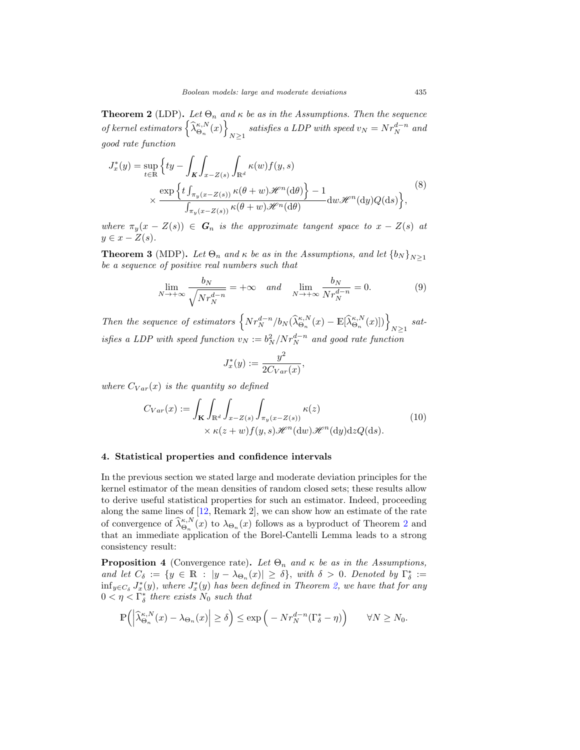<span id="page-8-1"></span>**Theorem 2** (LDP). Let  $\Theta_n$  and  $\kappa$  be as in the Assumptions. Then the sequence of kernel estimators  $\left\{\widehat{\lambda}_{\Theta_n}^{\kappa,N}(x)\right\}$  $N≥1$  satisfies a LDP with speed  $v_N = N r_N^{d-n}$  and good rate function

$$
J_x^*(y) = \sup_{t \in \mathbb{R}} \left\{ ty - \int_K \int_{x - Z(s)} \int_{\mathbb{R}^d} \kappa(w) f(y, s) \times \frac{\exp\left\{ t \int_{\pi_y(x - Z(s))} \kappa(\theta + w) \mathcal{H}^n(\text{d}\theta) \right\} - 1}{\int_{\pi_y(x - Z(s))} \kappa(\theta + w) \mathcal{H}^n(\text{d}\theta)} \, dw \mathcal{H}^n(\text{d}y) Q(\text{d}s) \right\},
$$
\n(8)

where  $\pi_y(x - Z(s)) \in G_n$  is the approximate tangent space to  $x - Z(s)$  at  $y \in x - Z(s)$ .

<span id="page-8-2"></span>**Theorem 3** (MDP). Let  $\Theta_n$  and  $\kappa$  be as in the Assumptions, and let  $\{b_N\}_{N\geq 1}$ be a sequence of positive real numbers such that

<span id="page-8-4"></span>
$$
\lim_{N \to +\infty} \frac{b_N}{\sqrt{N r_N^{d-n}}} = +\infty \quad and \quad \lim_{N \to +\infty} \frac{b_N}{N r_N^{d-n}} = 0.
$$
 (9)

Then the sequence of estimators  $\left\{ Nr_N^{d-n}/b_N(\widehat{\lambda}_{\Theta_n}^{\kappa,N}(x)-\mathbb{E}[\widehat{\lambda}_{\Theta_n}^{\kappa,N}(x)]) \right\}_{N\geq 1}$  satisfies a LDP with speed function  $v_N := b_N^2/Nr_N^{d-n}$  and good rate function

$$
J_x^*(y) := \frac{y^2}{2C_{Var}(x)},
$$

<span id="page-8-5"></span>where  $C_{Var}(x)$  is the quantity so defined

$$
C_{Var}(x) := \int_{\mathbf{K}} \int_{\mathbb{R}^d} \int_{x - Z(s)} \int_{\pi_y(x - Z(s))} \kappa(z) \qquad (10)
$$

$$
\times \kappa(z + w) f(y, s) \mathcal{H}^n(\mathrm{d}w) \mathcal{H}^n(\mathrm{d}y) \mathrm{d}z Q(\mathrm{d}s).
$$

#### <span id="page-8-0"></span>**4. Statistical properties and confidence intervals**

In the previous section we stated large and moderate deviation principles for the kernel estimator of the mean densities of random closed sets; these results allow to derive useful statistical properties for such an estimator. Indeed, proceeding along the same lines of [\[12](#page-32-13), Remark 2], we can show how an estimate of the rate of convergence of  $\hat{\lambda}_{\Theta_n}^{\kappa,N}(x)$  to  $\lambda_{\Theta_n}(x)$  follows as a byproduct of Theorem [2](#page-8-1) and that an immediate application of the Borel-Cantelli Lemma leads to a strong consistency result:

<span id="page-8-3"></span>**Proposition 4** (Convergence rate). Let  $\Theta_n$  and  $\kappa$  be as in the Assumptions, and let  $C_{\delta} := \{y \in \mathbb{R} : |y - \lambda_{\Theta_n}(x)| \geq \delta\}$ , with  $\delta > 0$ . Denoted by  $\Gamma_{\delta}^* :=$  $\inf_{y \in C_{\delta}} J_x^*(y)$ , where  $J_x^*(y)$  has been defined in Theorem [2,](#page-8-1) we have that for any  $0 < \eta < \Gamma^*_{\delta}$  there exists  $N_0$  such that

$$
\mathbb{P}\left(\left|\widehat{\lambda}_{\Theta_n}^{\kappa,N}(x) - \lambda_{\Theta_n}(x)\right| \ge \delta\right) \le \exp\left(-Nr_N^{d-n}(\Gamma_\delta^* - \eta)\right) \qquad \forall N \ge N_0.
$$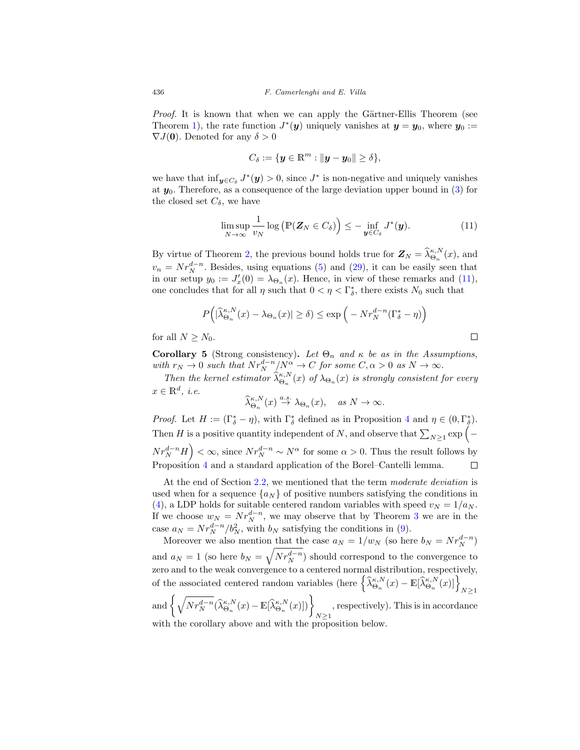Proof. It is known that when we can apply the Gärtner-Ellis Theorem (see Theorem [1\)](#page-5-0), the rate function  $J^*(y)$  uniquely vanishes at  $y = y_0$ , where  $y_0$ :=  $\nabla J(\mathbf{0})$ . Denoted for any  $\delta > 0$ 

$$
C_{\delta} := \{ \boldsymbol{y} \in \mathbb{R}^m : \| \boldsymbol{y} - \boldsymbol{y}_0 \| \ge \delta \},\
$$

we have that  $\inf_{\mathbf{y}\in C_{\delta}} J^*(\mathbf{y}) > 0$ , since  $J^*$  is non-negative and uniquely vanishes at *y*0. Therefore, as a consequence of the large deviation upper bound in [\(3\)](#page-5-1) for the closed set  $C_{\delta}$ , we have

<span id="page-9-0"></span>
$$
\limsup_{N \to \infty} \frac{1}{v_N} \log \left( \mathbb{P}(\mathbf{Z}_N \in C_\delta) \right) \leq - \inf_{\mathbf{y} \in C_\delta} J^*(\mathbf{y}). \tag{11}
$$

By virtue of Theorem [2,](#page-8-1) the previous bound holds true for  $\mathbf{Z}_N = \widehat{\lambda}_{\Theta_n}^{\kappa, N}(x)$ , and  $v_n = N r_N^{d-n}$ . Besides, using equations [\(5\)](#page-6-1) and [\(29\)](#page-22-0), it can be easily seen that in our setup  $y_0 := J'_x(0) = \lambda_{\Theta_n}(x)$ . Hence, in view of these remarks and [\(11\)](#page-9-0), one concludes that for all  $\eta$  such that  $0 < \eta < \Gamma^*_{\delta}$ , there exists  $N_0$  such that

$$
P\left(|\widehat{\lambda}_{\Theta_n}^{\kappa,N}(x) - \lambda_{\Theta_n}(x)| \ge \delta\right) \le \exp\left(-Nr_N^{d-n}(\Gamma_\delta^* - \eta)\right)
$$

for all  $N > N_0$ .

**Corollary 5** (Strong consistency). Let  $\Theta_n$  and  $\kappa$  be as in the Assumptions, with  $r_N \to 0$  such that  $Nr_N^{d-n}/N^{\alpha} \to C$  for some  $C, \alpha > 0$  as  $N \to \infty$ .

Then the kernel estimator  $\hat{\lambda}_{\Theta_n}^{\kappa,N}(x)$  of  $\lambda_{\Theta_n}(x)$  is strongly consistent for every  $x \in \mathbb{R}^d$ , *i.e.* 

$$
\widehat{\lambda}_{\Theta_n}^{\kappa,N}(x) \stackrel{a.s.}{\to} \lambda_{\Theta_n}(x), \quad \text{as } N \to \infty.
$$

*Proof.* Let  $H := (\Gamma_{\delta}^* - \eta)$ , with  $\Gamma_{\delta}^*$  defined as in Proposition [4](#page-8-3) and  $\eta \in (0, \Gamma_{\delta}^*)$ . Then H is a positive quantity independent of N, and observe that  $\sum_{N\geq 1} \exp(-\frac{N}{n})$  $Nr_N^{d-n}H$   $\Big) < \infty$ , since  $Nr_N^{d-n} \sim N^{\alpha}$  for some  $\alpha > 0$ . Thus the result follows by Proposition [4](#page-8-3) and a standard application of the Borel–Cantelli lemma.  $\Box$ 

At the end of Section [2.2,](#page-4-0) we mentioned that the term moderate deviation is used when for a sequence  $\{a_N\}$  of positive numbers satisfying the conditions in [\(4\)](#page-5-2), a LDP holds for suitable centered random variables with speed  $v_N = 1/a_N$ . If we choose  $w_N = N r_N^{d-n}$ , we may observe that by Theorem [3](#page-8-2) we are in the case  $a_N = N r_N^{d-n}/b_N^2$ , with  $b_N$  satisfying the conditions in [\(9\)](#page-8-4).

Moreover we also mention that the case  $a_N = 1/w_N$  (so here  $b_N = Nr_N^{d-n}$ ) and  $a_N = 1$  (so here  $b_N = \sqrt{N r_N^{d-n}}$ ) should correspond to the convergence to zero and to the weak convergence to a centered normal distribution, respectively, of the associated centered random variables (here  $\left\{\widehat{\lambda}_{\Theta_n}^{\kappa,N}(x) - \mathbb{E}[\widehat{\lambda}_{\Theta_n}^{\kappa,N}(x)]\right\}_{N\geq 1}$ and  $\left\{\sqrt{Nr_N^{d-n}}(\widehat{\lambda}_{\Theta_n}^{\kappa,N}(x)-\mathbb{E}[\widehat{\lambda}_{\Theta_n}^{\kappa,N}(x)])\right\}_{N\geq 1}$ , respectively). This is in accordance

with the corollary above and with the proposition below.

 $\Box$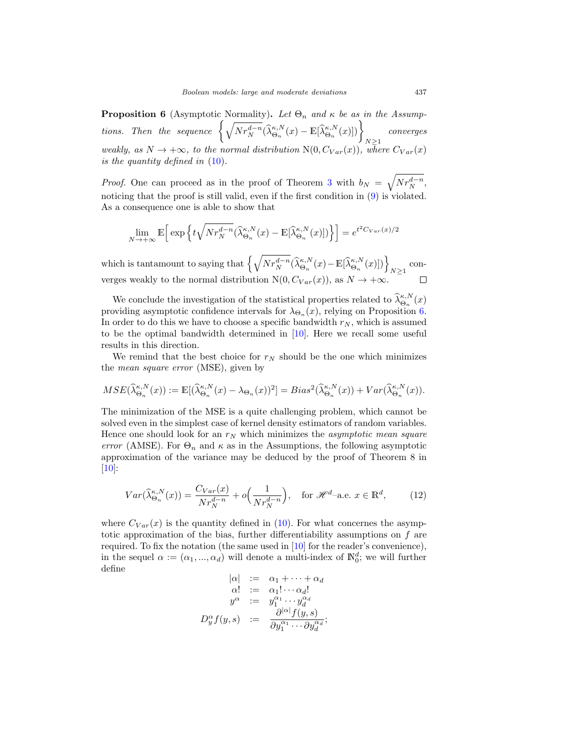<span id="page-10-0"></span>**Proposition 6** (Asymptotic Normality). Let  $\Theta_n$  and  $\kappa$  be as in the Assumptions. Then the sequence  $\left\{\sqrt{Nr_N^{d-n}}(\widehat\lambda_{\Theta_n}^{\kappa,N}(x)-\mathbb E[\widehat\lambda_{\Theta_n}^{\kappa,N}(x)])\right\}_{N\geq 1}$ converges weakly, as  $N \to +\infty$ , to the normal distribution  $N(0, C_{Var}(x))$ , where  $C_{Var}(x)$ is the quantity defined in [\(10\)](#page-8-5).

*Proof.* One can proceed as in the proof of Theorem [3](#page-8-2) with  $b_N = \sqrt{Nr_N^{d-n}}$ , noticing that the proof is still valid, even if the first condition in [\(9\)](#page-8-4) is violated. As a consequence one is able to show that

$$
\lim_{N \to +\infty} \mathbb{E} \Big[ \exp \Big\{ t \sqrt{N r_N^{d-n}} (\hat{\lambda}_{\Theta_n}^{\kappa,N}(x) - \mathbb{E} [\hat{\lambda}_{\Theta_n}^{\kappa,N}(x)]) \Big\} \Big] = e^{t^2 C_{Var}(x)/2}
$$

which is tantamount to saying that  $\left\{\sqrt{Nr_N^{d-n}}(\widehat\lambda_{\Theta_n}^{\kappa,N}(x)-\mathbb E[\widehat\lambda_{\Theta_n}^{\kappa,N}(x)])\right\}_{N\geq 1}$  converges weakly to the normal distribution  $N(0, C_{Var}(x))$ , as  $N \to +\infty$ .

We conclude the investigation of the statistical properties related to  $\hat{\lambda}_{\Theta_n}^{\kappa,N}(x)$ providing asymptotic confidence intervals for  $\lambda_{\Theta_n}(x)$ , relying on Proposition [6.](#page-10-0) In order to do this we have to choose a specific bandwidth  $r_N$ , which is assumed to be the optimal bandwidth determined in [\[10\]](#page-31-8). Here we recall some useful results in this direction.

We remind that the best choice for  $r_N$  should be the one which minimizes the mean square error (MSE), given by

$$
MSE(\widehat{\lambda}_{\Theta_n}^{\kappa,N}(x)) := \mathbb{E}[(\widehat{\lambda}_{\Theta_n}^{\kappa,N}(x) - \lambda_{\Theta_n}(x))^2] = Bias^2(\widehat{\lambda}_{\Theta_n}^{\kappa,N}(x)) + Var(\widehat{\lambda}_{\Theta_n}^{\kappa,N}(x)).
$$

The minimization of the MSE is a quite challenging problem, which cannot be solved even in the simplest case of kernel density estimators of random variables. Hence one should look for an  $r_N$  which minimizes the *asymptotic mean square* error (AMSE). For  $\Theta_n$  and  $\kappa$  as in the Assumptions, the following asymptotic approximation of the variance may be deduced by the proof of Theorem 8 in  $|10|$ :

<span id="page-10-1"></span>
$$
Var(\widehat{\lambda}_{\Theta_n}^{\kappa,N}(x)) = \frac{C_{Var}(x)}{Nr_N^{d-n}} + o\Big(\frac{1}{Nr_N^{d-n}}\Big), \quad \text{for } \mathscr{H}^d\text{-a.e. } x \in \mathbb{R}^d,
$$
 (12)

where  $C_{Var}(x)$  is the quantity defined in [\(10\)](#page-8-5). For what concernes the asymptotic approximation of the bias, further differentiability assumptions on f are required. To fix the notation (the same used in [\[10](#page-31-8)] for the reader's convenience), in the sequel  $\alpha := (\alpha_1, ..., \alpha_d)$  will denote a multi-index of  $\mathbb{N}_0^d$ ; we will further define

$$
\begin{array}{rcl}\n|\alpha| & := & \alpha_1 + \cdots + \alpha_d \\
\alpha! & := & \alpha_1! \cdots \alpha_d! \\
y^\alpha & := & y_1^{\alpha_1} \cdots y_d^{\alpha_d} \\
D_y^\alpha f(y, s) & := & \frac{\partial^{|\alpha|} f(y, s)}{\partial y_1^{\alpha_1} \cdots \partial y_d^{\alpha_d}};\n\end{array}
$$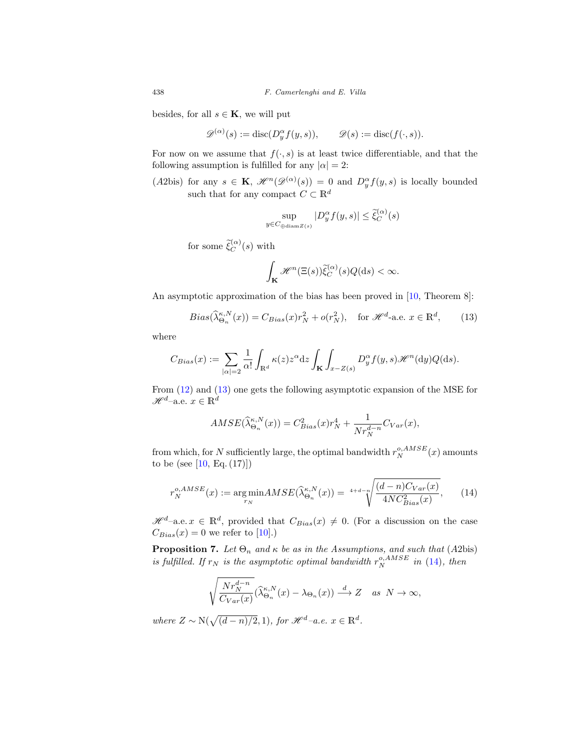besides, for all  $s \in \mathbf{K}$ , we will put

$$
\mathscr{D}^{(\alpha)}(s) := \text{disc}(D_y^{\alpha} f(y, s)), \qquad \mathscr{D}(s) := \text{disc}(f(\cdot, s)).
$$

For now on we assume that  $f(\cdot, s)$  is at least twice differentiable, and that the following assumption is fulfilled for any  $|\alpha| = 2$ :

(A2bis) for any  $s \in \mathbf{K}$ ,  $\mathscr{H}^n(\mathscr{D}^{(\alpha)}(s)) = 0$  and  $D_y^{\alpha}f(y, s)$  is locally bounded such that for any compact  $C \subset \mathbb{R}^d$ 

$$
\sup_{y \in C_{\bigoplus \text{diam } Z(s)}} |D_y^{\alpha} f(y, s)| \le \tilde{\xi}_C^{(\alpha)}(s)
$$

for some  $\tilde{\xi}_C^{(\alpha)}(s)$  with

$$
\int_{\mathbf{K}} \mathcal{H}^{n}(\Xi(s))\widetilde{\xi}_{C}^{(\alpha)}(s)Q(\mathrm{d}s) < \infty.
$$

An asymptotic approximation of the bias has been proved in [\[10,](#page-31-8) Theorem 8]:

<span id="page-11-0"></span>
$$
Bias(\widehat{\lambda}_{\Theta_n}^{\kappa,N}(x)) = C_{Bias}(x)r_N^2 + o(r_N^2), \quad \text{for } \mathscr{H}^d\text{-a.e. } x \in \mathbb{R}^d,
$$
 (13)

where

$$
C_{Bias}(x) := \sum_{|\alpha|=2} \frac{1}{\alpha!} \int_{\mathbb{R}^d} \kappa(z) z^{\alpha} dz \int_{\mathbf{K}} \int_{x-Z(s)} D_y^{\alpha} f(y, s) \mathcal{H}^n(\mathrm{d}y) Q(\mathrm{d}s).
$$

From [\(12\)](#page-10-1) and [\(13\)](#page-11-0) one gets the following asymptotic expansion of the MSE for  $\mathscr{H}^{d}$ –a.e.  $x \in \mathbb{R}^d$ 

$$
AMSE(\widehat{\lambda}_{\Theta_n}^{\kappa,N}(x)) = C_{Bias}^2(x)r_N^4 + \frac{1}{Nr_N^{d-n}}C_{Var}(x),
$$

from which, for N sufficiently large, the optimal bandwidth  $r_N^{o,AMSE}(x)$  amounts to be (see [\[10](#page-31-8), Eq. (17)])

<span id="page-11-1"></span>
$$
r_N^{o,AMSE}(x) := \underset{r_N}{\text{arg min}} AMSE(\widehat{\lambda}_{\Theta_n}^{\kappa, N}(x)) = {}^{4+d-n} \sqrt{\frac{(d-n)C_{Var}(x)}{4NC_{Bias}^2(x)}}, \qquad (14)
$$

 $\mathscr{H}^d$ –a.e.  $x \in \mathbb{R}^d$ , provided that  $C_{Bias}(x) \neq 0$ . (For a discussion on the case  $C_{Bias}(x) = 0$  we refer to [\[10](#page-31-8)].)

<span id="page-11-2"></span>**Proposition 7.** Let  $\Theta_n$  and  $\kappa$  be as in the Assumptions, and such that (A2bis) is fulfilled. If  $r_N$  is the asymptotic optimal bandwidth  $r_N^{o,AMSE}$  in [\(14\)](#page-11-1), then

$$
\sqrt{\frac{Nr_N^{d-n}}{C_{Var}(x)}}(\widehat{\lambda}_{\Theta_n}^{\kappa,N}(x)-\lambda_{\Theta_n}(x)) \stackrel{d}{\longrightarrow} Z \quad as \ \ N \to \infty,
$$

where  $Z \sim N(\sqrt{(d-n)/2}, 1)$ , for  $\mathcal{H}^d$ -a.e.  $x \in \mathbb{R}^d$ .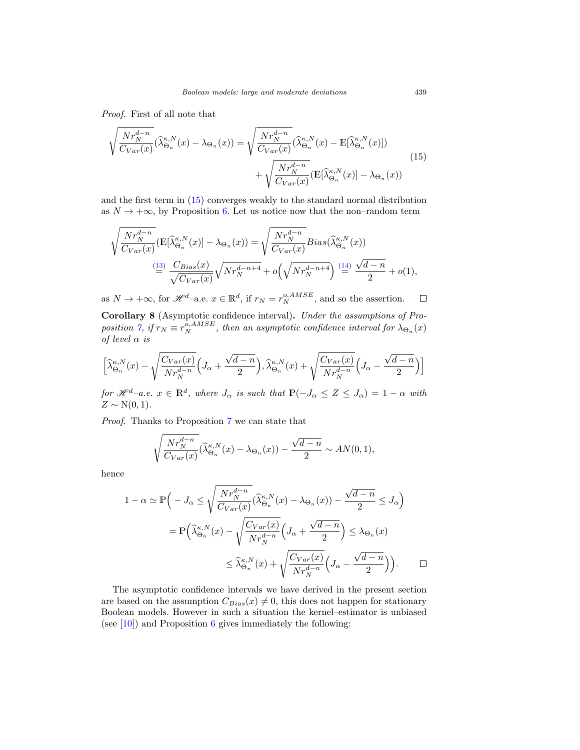Proof. First of all note that

<span id="page-12-0"></span>
$$
\sqrt{\frac{Nr_N^{d-n}}{C_{Var}(x)}}(\hat{\lambda}_{\Theta_n}^{\kappa,N}(x) - \lambda_{\Theta_n}(x)) = \sqrt{\frac{Nr_N^{d-n}}{C_{Var}(x)}}(\hat{\lambda}_{\Theta_n}^{\kappa,N}(x) - \mathbb{E}[\hat{\lambda}_{\Theta_n}^{\kappa,N}(x)]) + \sqrt{\frac{Nr_N^{d-n}}{C_{Var}(x)}}(\mathbb{E}[\hat{\lambda}_{\Theta_n}^{\kappa,N}(x)] - \lambda_{\Theta_n}(x))
$$
\n(15)

and the first term in [\(15\)](#page-12-0) converges weakly to the standard normal distribution as  $N \to +\infty$ , by Proposition [6.](#page-10-0) Let us notice now that the non-random term

$$
\sqrt{\frac{Nr_N^{d-n}}{C_{Var}(x)}}(\mathbb{E}[\widehat{\lambda}_{\Theta_n}^{\kappa,N}(x)] - \lambda_{\Theta_n}(x)) = \sqrt{\frac{Nr_N^{d-n}}{C_{Var}(x)}} Bias(\widehat{\lambda}_{\Theta_n}^{\kappa,N}(x))
$$
  
\n
$$
\stackrel{\text{(13)}}{=} \frac{C_{Bias}(x)}{\sqrt{C_{Var}(x)}} \sqrt{Nr_N^{d-n+4}} + o\left(\sqrt{Nr_N^{d-n+4}}\right) \stackrel{\text{(14)}}{=} \frac{\sqrt{d-n}}{2} + o(1),
$$

as  $N \to +\infty$ , for  $\mathscr{H}^{d}$ -a.e.  $x \in \mathbb{R}^{d}$ , if  $r_N = r_N^{o, AMSE}$ , and so the assertion.  $\Box$ 

<span id="page-12-1"></span>**Corollary 8** (Asymptotic confidence interval)**.** Under the assumptions of Pro-position [7,](#page-11-2) if  $r_N \equiv r_N^{o,AMSE}$ , then an asymptotic confidence interval for  $\lambda_{\Theta_n}(x)$ of level  $\alpha$  is

$$
\Big[\widehat{\lambda}_{{\Theta}_n}^{\kappa,N}(x) - \sqrt{\frac{C_{Var}(x)}{Nr_N^{d-n}}}\Big(J_{\alpha} + \frac{\sqrt{d-n}}{2}\Big), \widehat{\lambda}_{{\Theta}_n}^{\kappa,N}(x) + \sqrt{\frac{C_{Var}(x)}{Nr_N^{d-n}}}\Big(J_{\alpha} - \frac{\sqrt{d-n}}{2}\Big)\Big]
$$

for  $\mathscr{H}^d$ –a.e.  $x \in \mathbb{R}^d$ , where  $J_\alpha$  is such that  $\mathbb{P}(-J_\alpha \leq Z \leq J_\alpha) = 1 - \alpha$  with  $Z \sim N(0, 1)$ .

Proof. Thanks to Proposition [7](#page-11-2) we can state that

$$
\sqrt{\frac{Nr_N^{d-n}}{C_{Var}(x)}}(\widehat{\lambda}_{\Theta_n}^{\kappa,N}(x)-\lambda_{\Theta_n}(x))-\frac{\sqrt{d-n}}{2}\sim AN(0,1),
$$

hence

$$
1 - \alpha \simeq \mathbb{P}\Big(-J_{\alpha} \le \sqrt{\frac{Nr_N^{d-n}}{C_{Var}(x)}}(\hat{\lambda}_{\Theta_n}^{\kappa,N}(x) - \lambda_{\Theta_n}(x)) - \frac{\sqrt{d-n}}{2} \le J_{\alpha}\Big)
$$
  
=  $\mathbb{P}\Big(\hat{\lambda}_{\Theta_n}^{\kappa,N}(x) - \sqrt{\frac{C_{Var}(x)}{Nr_N^{d-n}}}\Big(J_{\alpha} + \frac{\sqrt{d-n}}{2}\Big) \le \lambda_{\Theta_n}(x)$   
 $\le \hat{\lambda}_{\Theta_n}^{\kappa,N}(x) + \sqrt{\frac{C_{Var}(x)}{Nr_N^{d-n}}}\Big(J_{\alpha} - \frac{\sqrt{d-n}}{2}\Big)\Big).$ 

The asymptotic confidence intervals we have derived in the present section are based on the assumption  $C_{Bias}(x) \neq 0$ , this does not happen for stationary Boolean models. However in such a situation the kernel–estimator is unbiased (see  $[10]$ ) and Proposition [6](#page-10-0) gives immediately the following: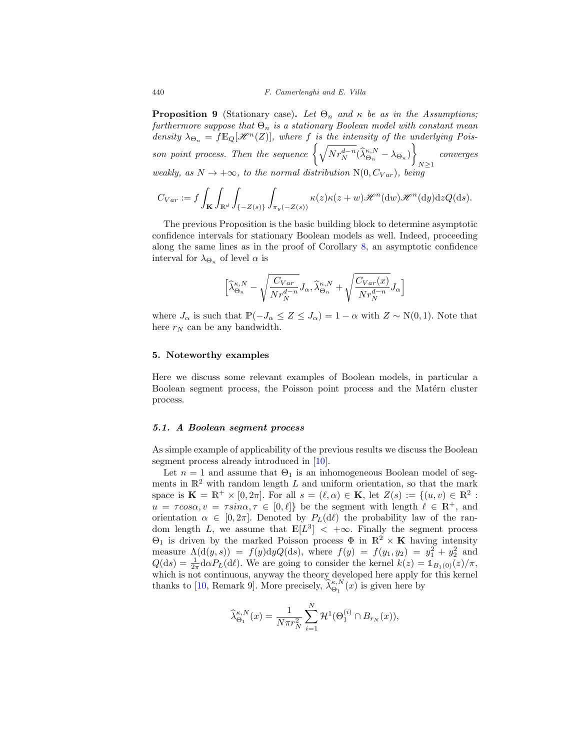**Proposition 9** (Stationary case). Let  $\Theta_n$  and  $\kappa$  be as in the Assumptions; furthermore suppose that  $\Theta_n$  is a stationary Boolean model with constant mean density  $\lambda_{\Theta_n} = f \mathbb{E}_Q[\mathcal{H}^n(Z)],$  where f is the intensity of the underlying Poisson point process. Then the sequence  $\left\{\sqrt{Nr_N^{d-n}}(\hat{\lambda}_{\Theta_n}^{\kappa,N}-\lambda_{\Theta_n})\right\}$  $N \geq 1$ converges weakly, as  $N \to +\infty$ , to the normal distribution  $N(0, C_{Var})$ , being

$$
C_{Var} := f \int_{\mathbf{K}} \int_{\mathbb{R}^d} \int_{\{-Z(s)\}} \int_{\pi_y(-Z(s))} \kappa(z) \kappa(z+w) \mathcal{H}^n(\mathrm{d}w) \mathcal{H}^n(\mathrm{d}y) \mathrm{d}z Q(\mathrm{d}s).
$$

The previous Proposition is the basic building block to determine asymptotic confidence intervals for stationary Boolean models as well. Indeed, proceeding along the same lines as in the proof of Corollary [8,](#page-12-1) an asymptotic confidence interval for  $\lambda_{\Theta_n}$  of level  $\alpha$  is

$$
\left[\widehat{\lambda}_{\Theta_n}^{\kappa,N} - \sqrt{\frac{C_{Var}}{Nr_N^{d-n}}} J_\alpha, \widehat{\lambda}_{\Theta_n}^{\kappa,N} + \sqrt{\frac{C_{Var}(x)}{Nr_N^{d-n}}} J_\alpha\right]
$$

where  $J_{\alpha}$  is such that  $\mathbb{P}(-J_{\alpha} \leq Z \leq J_{\alpha})=1-\alpha$  with  $Z \sim N(0, 1)$ . Note that here  $r_N$  can be any bandwidth.

## <span id="page-13-0"></span>**5. Noteworthy examples**

Here we discuss some relevant examples of Boolean models, in particular a Boolean segment process, the Poisson point process and the Matérn cluster process.

#### <span id="page-13-1"></span>*5.1. A Boolean segment process*

As simple example of applicability of the previous results we discuss the Boolean segment process already introduced in [\[10](#page-31-8)].

Let  $n = 1$  and assume that  $\Theta_1$  is an inhomogeneous Boolean model of segments in  $\mathbb{R}^2$  with random length L and uniform orientation, so that the mark space is  $\mathbf{K} = \mathbb{R}^+ \times [0, 2\pi]$ . For all  $s = (\ell, \alpha) \in \mathbf{K}$ , let  $Z(s) := \{(u, v) \in \mathbb{R}^2$ :  $u = \tau cos \alpha, v = \tau sin \alpha, \tau \in [0, \ell]$  be the segment with length  $\ell \in \mathbb{R}^+$ , and orientation  $\alpha \in [0, 2\pi]$ . Denoted by  $P_L(d\ell)$  the probability law of the random length L, we assume that  $E[L^3] < +\infty$ . Finally the segment process Θ<sup>1</sup> is driven by the marked Poisson process Φ in R<sup>2</sup> × **K** having intensity measure  $\Lambda(\mathrm{d}(y,s)) = f(y) \mathrm{d}y Q(\mathrm{d}s)$ , where  $f(y) = f(y_1, y_2) = y_1^2 + y_2^2$  and  $Q(ds) = \frac{1}{2\pi} d\alpha P_L(d\ell)$ . We are going to consider the kernel  $k(z) = \mathbb{1}_{B_1(0)}(z)/\pi$ , which is not continuous, anyway the theory developed here apply for this kernel thanks to [\[10](#page-31-8), Remark 9]. More precisely,  $\hat{\lambda}_{\Theta_1}^{\kappa,N}(x)$  is given here by

$$
\widehat{\lambda}_{\Theta_1}^{\kappa,N}(x) = \frac{1}{N\pi r_N^2} \sum_{i=1}^N \mathcal{H}^1(\Theta_1^{(i)} \cap B_{r_N}(x)),
$$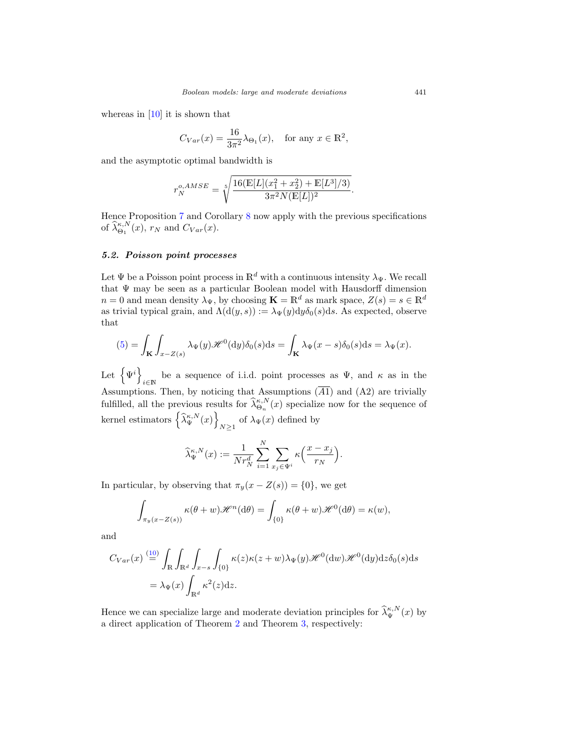whereas in [\[10\]](#page-31-8) it is shown that

$$
C_{Var}(x) = \frac{16}{3\pi^2} \lambda_{\Theta_1}(x), \quad \text{for any } x \in \mathbb{R}^2,
$$

and the asymptotic optimal bandwidth is

$$
r_N^{o,AMSE} = \sqrt[5]{\frac{16(\mathbb{E}[L](x_1^2 + x_2^2) + \mathbb{E}[L^3]/3)}{3\pi^2 N(\mathbb{E}[L])^2}}.
$$

Hence Proposition [7](#page-11-2) and Corollary [8](#page-12-1) now apply with the previous specifications of  $\widehat{\lambda}_{\Theta_1}^{\kappa,N}(x)$ ,  $r_N$  and  $C_{Var}(x)$ .

# <span id="page-14-0"></span>*5.2. Poisson point processes*

Let  $\Psi$  be a Poisson point process in  $\mathbb{R}^d$  with a continuous intensity  $\lambda_{\Psi}$ . We recall that Ψ may be seen as a particular Boolean model with Hausdorff dimension  $n = 0$  and mean density  $\lambda_{\Psi}$ , by choosing  $\mathbf{K} = \mathbb{R}^d$  as mark space,  $Z(s) = s \in \mathbb{R}^d$ as trivial typical grain, and  $\Lambda(\mathrm{d}(y,s)) := \lambda_{\Psi}(y) \mathrm{d}y \delta_0(s) \mathrm{d}s$ . As expected, observe that

$$
(5) = \int_{\mathbf{K}} \int_{x - Z(s)} \lambda_{\Psi}(y) \mathcal{H}^{0}(\mathrm{d}y) \delta_{0}(s) \mathrm{d}s = \int_{\mathbf{K}} \lambda_{\Psi}(x - s) \delta_{0}(s) \mathrm{d}s = \lambda_{\Psi}(x).
$$

Let  $\{\Psi^i\}$ be a sequence of i.i.d. point processes as  $\Psi$ , and  $\kappa$  as in the Assumptions. Then, by noticing that Assumptions (A1) and (A2) are trivially fulfilled, all the previous results for  $\hat{\lambda}_{\Theta_n}^{\kappa,N}(x)$  specialize now for the sequence of kernel estimators  $\left\{\widehat{\lambda}_{\Psi}^{\kappa,N}(x)\right\}$ of  $\lambda_{\Psi}(x)$  defined by  $N \geq 1$ 

$$
\widehat{\lambda}_{\Psi}^{\kappa, N}(x) := \frac{1}{N r_N^d} \sum_{i=1}^N \sum_{x_j \in \Psi^i} \kappa\left(\frac{x - x_j}{r_N}\right).
$$

In particular, by observing that  $\pi_y(x - Z(s)) = \{0\}$ , we get

$$
\int_{\pi_y(x-Z(s))} \kappa(\theta+w)\mathscr{H}^n(\mathrm{d}\theta) = \int_{\{0\}} \kappa(\theta+w)\mathscr{H}^0(\mathrm{d}\theta) = \kappa(w),
$$

and

$$
C_{Var}(x) \stackrel{(10)}{=} \int_{\mathbb{R}} \int_{\mathbb{R}^d} \int_{x-s} \int_{\{0\}} \kappa(z) \kappa(z+w) \lambda_{\Psi}(y) \mathcal{H}^0(\mathrm{d}w) \mathcal{H}^0(\mathrm{d}y) \mathrm{d}z \delta_0(s) \mathrm{d}s
$$

$$
= \lambda_{\Psi}(x) \int_{\mathbb{R}^d} \kappa^2(z) \mathrm{d}z.
$$

Hence we can specialize large and moderate deviation principles for  $\hat{\lambda}_{\Psi}^{\kappa,N}(x)$  by a direct application of Theorem [2](#page-8-1) and Theorem [3,](#page-8-2) respectively: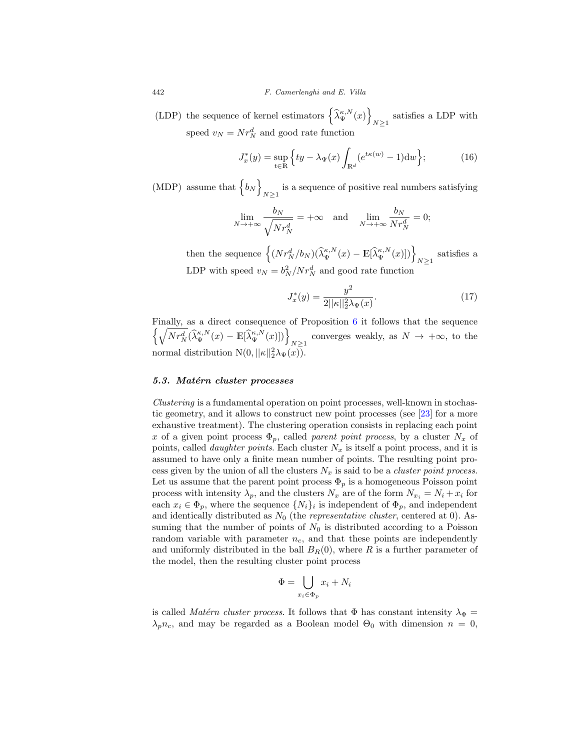(LDP) the sequence of kernel estimators  $\left\{ \widehat{\lambda}_{\Psi}^{\kappa,N}(x) \right\}$ satisfies a LDP with  $N\geq 1$ speed  $v_N = N r_N^d$  and good rate function

<span id="page-15-1"></span>
$$
J_x^*(y) = \sup_{t \in \mathbb{R}} \left\{ ty - \lambda_\Psi(x) \int_{\mathbb{R}^d} (e^{t\kappa(w)} - 1) \mathrm{d}w \right\};\tag{16}
$$

(MDP) assume that  $\{b_N\}$ is a sequence of positive real numbers satisfying  $N \geq 1$ 

$$
\lim_{N \to +\infty} \frac{b_N}{\sqrt{N r_N^d}} = +\infty \quad \text{and} \quad \lim_{N \to +\infty} \frac{b_N}{N r_N^d} = 0;
$$

then the sequence  $\left\{ (Nr_N^d/b_N)(\hat{\lambda}_{\Psi}^{\kappa,N}(x) - \mathbb{E}[\hat{\lambda}_{\Psi}^{\kappa,N}(x)]) \right\}_{N \geq 1}$  satisfies a LDP with speed  $v_N = b_N^2/Nr_N^d$  and good rate function

<span id="page-15-2"></span>
$$
J_x^*(y) = \frac{y^2}{2||\kappa||_2^2 \lambda_\Psi(x)}.\tag{17}
$$

Finally, as a direct consequence of Proposition  $6$  it follows that the sequence  $\left\{\sqrt{Nr_N^d}(\hat{\lambda}_{\Psi}^{\kappa,N}(x)-\mathbb{E}[\hat{\lambda}_{\Psi}^{\kappa,N}(x)])\right\}_{N\geq 1}$  converges weakly, as  $N\to+\infty$ , to the normal distribution  $N(0,||\kappa||_2^2\lambda_{\Psi}(x)).$ 

## <span id="page-15-0"></span>*5.3. Mat´ern cluster processes*

Clustering is a fundamental operation on point processes, well-known in stochastic geometry, and it allows to construct new point processes (see [\[23](#page-32-8)] for a more exhaustive treatment). The clustering operation consists in replacing each point x of a given point process  $\Phi_p$ , called parent point process, by a cluster  $N_x$  of points, called *daughter points*. Each cluster  $N_x$  is itself a point process, and it is assumed to have only a finite mean number of points. The resulting point process given by the union of all the clusters  $N_x$  is said to be a *cluster point process*. Let us assume that the parent point process  $\Phi_p$  is a homogeneous Poisson point process with intensity  $\lambda_p$ , and the clusters  $N_x$  are of the form  $N_{x_i} = N_i + x_i$  for each  $x_i \in \Phi_p$ , where the sequence  $\{N_i\}_i$  is independent of  $\Phi_p$ , and independent and identically distributed as  $N_0$  (the *representative cluster*, centered at 0). Assuming that the number of points of  $N_0$  is distributed according to a Poisson random variable with parameter  $n_c$ , and that these points are independently and uniformly distributed in the ball  $B_R(0)$ , where R is a further parameter of the model, then the resulting cluster point process

$$
\Phi = \bigcup_{x_i \in \Phi_p} x_i + N_i
$$

is called Matérn cluster process. It follows that  $\Phi$  has constant intensity  $\lambda_{\Phi}$  =  $\lambda_p n_c$ , and may be regarded as a Boolean model  $\Theta_0$  with dimension  $n = 0$ ,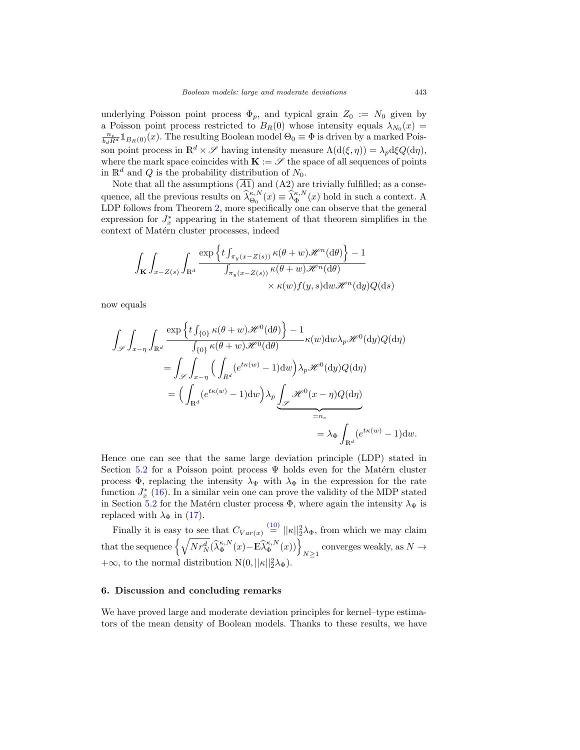underlying Poisson point process  $\Phi_p$ , and typical grain  $Z_0 := N_0$  given by a Poisson point process restricted to  $B_R(0)$  whose intensity equals  $\lambda_{N_0}(x)$  =  $\frac{n_c}{b_d R^d} \mathbb{1}_{B_R(0)}(x)$ . The resulting Boolean model  $\Theta_0 \equiv \Phi$  is driven by a marked Poisson point process in  $\mathbb{R}^d \times \mathscr{S}$  having intensity measure  $\Lambda(\mathrm{d}(\xi,\eta)) = \lambda_p \mathrm{d}\xi Q(\mathrm{d}\eta)$ , where the mark space coincides with  $\mathbf{K} := \mathcal{S}$  the space of all sequences of points in  $\mathbb{R}^d$  and Q is the probability distribution of  $N_0$ .

Note that all the assumptions  $(\overline{A1})$  and  $(A2)$  are trivially fulfilled; as a consequence, all the previous results on  $\widehat{\lambda}_{\Theta_0}^{\kappa,N}(x) \equiv \widehat{\lambda}_{\Phi}^{\kappa,N}(x)$  hold in such a context. A LDP follows from Theorem [2,](#page-8-1) more specifically one can observe that the general expression for  $J_x^*$  appearing in the statement of that theorem simplifies in the context of Matérn cluster processes, indeed

$$
\int_{\mathbf{K}} \int_{x-Z(s)} \int_{\mathbb{R}^d} \frac{\exp \left\{ t \int_{\pi_y(x-Z(s))} \kappa(\theta+w) \mathcal{H}^n(\mathrm{d}\theta) \right\} - 1}{\int_{\pi_y(x-Z(s))} \kappa(\theta+w) \mathcal{H}^n(\mathrm{d}\theta)} \times \kappa(w) f(y,s) \mathrm{d}w \mathcal{H}^n(\mathrm{d}y) Q(\mathrm{d}s)
$$

now equals

$$
\int_{\mathscr{S}} \int_{x-\eta} \int_{\mathbb{R}^d} \frac{\exp\left\{ t \int_{\{0\}} \kappa(\theta+w) \mathscr{H}^0(\mathrm{d}\theta) \right\} - 1}{\int_{\{0\}} \kappa(\theta+w) \mathscr{H}^0(\mathrm{d}\theta)} \kappa(w) \mathrm{d}w \lambda_p \mathscr{H}^0(\mathrm{d}y) Q(\mathrm{d}\eta)
$$

$$
= \int_{\mathscr{S}} \int_{x-\eta} \Big( \int_{R^d} (e^{t\kappa(w)} - 1) \mathrm{d}w \Big) \lambda_p \mathscr{H}^0(\mathrm{d}y) Q(\mathrm{d}\eta)
$$

$$
= \Big( \int_{\mathbb{R}^d} (e^{t\kappa(w)} - 1) \mathrm{d}w \Big) \lambda_p \underbrace{\int_{\mathscr{S}} \mathscr{H}^0(x-\eta) Q(\mathrm{d}\eta)}_{=n_c}
$$

$$
= \lambda_{\Phi} \int_{\mathbb{R}^d} (e^{t\kappa(w)} - 1) \mathrm{d}w.
$$

Hence one can see that the same large deviation principle (LDP) stated in Section [5.2](#page-14-0) for a Poisson point process  $\Psi$  holds even for the Matérn cluster process  $\Phi$ , replacing the intensity  $\lambda_{\Psi}$  with  $\lambda_{\Phi}$  in the expression for the rate function  $J_x^*$  [\(16\)](#page-15-1). In a similar vein one can prove the validity of the MDP stated in Section [5.2](#page-14-0) for the Matérn cluster process  $\Phi$ , where again the intensity  $\lambda_{\Psi}$  is replaced with  $\lambda_{\Phi}$  in [\(17\)](#page-15-2).

Finally it is easy to see that  $C_{Var(x)} \stackrel{(10)}{=} ||\kappa||_2^2 \lambda_{\Phi}$  $C_{Var(x)} \stackrel{(10)}{=} ||\kappa||_2^2 \lambda_{\Phi}$  $C_{Var(x)} \stackrel{(10)}{=} ||\kappa||_2^2 \lambda_{\Phi}$ , from which we may claim that the sequence  $\left\{\sqrt{N r_N^d}(\widehat\lambda_\Phi^{\kappa,N}(x)-\mathbb E\widehat\lambda_\Phi^{\kappa,N}(x))\right\}_{N\geq 1}$  converges weakly, as  $N\to$  $+\infty$ , to the normal distribution  $N(0,||\kappa||_2^2\lambda_{\Phi})$ .

#### <span id="page-16-0"></span>**6. Discussion and concluding remarks**

We have proved large and moderate deviation principles for kernel–type estimators of the mean density of Boolean models. Thanks to these results, we have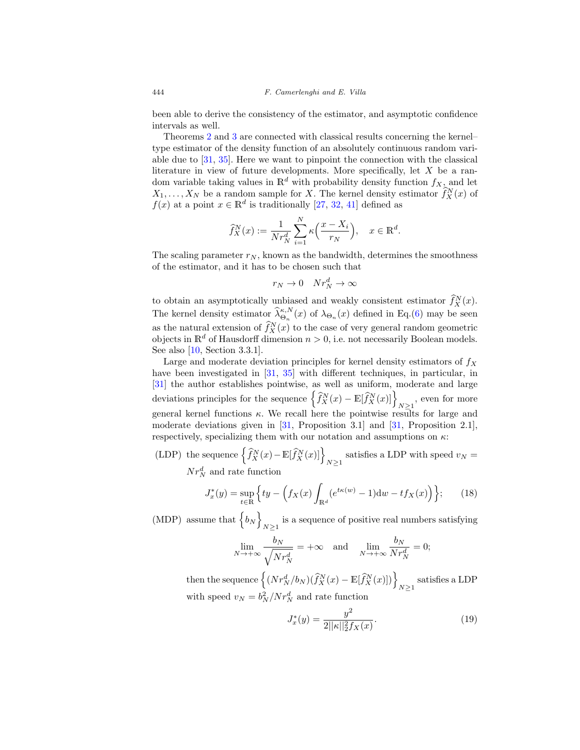been able to derive the consistency of the estimator, and asymptotic confidence intervals as well.

Theorems [2](#page-8-1) and [3](#page-8-2) are connected with classical results concerning the kernel– type estimator of the density function of an absolutely continuous random variable due to [\[31,](#page-33-6) [35\]](#page-33-7). Here we want to pinpoint the connection with the classical literature in view of future developments. More specifically, let  $X$  be a random variable taking values in  $\mathbb{R}^d$  with probability density function  $f_{X_\lambda}$  and let  $X_1, \ldots, X_N$  be a random sample for X. The kernel density estimator  $\hat{f}_X^N(x)$  of  $f(x)$  at a point  $x \in \mathbb{R}^d$  is traditionally [\[27,](#page-32-14) [32,](#page-33-15) [41\]](#page-33-16) defined as

$$
\widehat{f}_X^N(x) := \frac{1}{N r_N^d} \sum_{i=1}^N \kappa\left(\frac{x - X_i}{r_N}\right), \quad x \in \mathbb{R}^d.
$$

The scaling parameter  $r_N$ , known as the bandwidth, determines the smoothness of the estimator, and it has to be chosen such that

$$
r_N \to 0 \quad Nr_N^d \to \infty
$$

to obtain an asymptotically unbiased and weakly consistent estimator  $f_X^N(x)$ . The kernel density estimator  $\hat{\lambda}_{\Theta_n}^{\kappa,N}(x)$  of  $\lambda_{\Theta_n}(x)$  defined in Eq.[\(6\)](#page-7-1) may be seen as the natural extension of  $\hat{f}_X^N(x)$  to the case of very general random geometric objects in  $\mathbb{R}^d$  of Hausdorff dimension  $n > 0$ , i.e. not necessarily Boolean models. See also [\[10](#page-31-8), Section 3.3.1].

Large and moderate deviation principles for kernel density estimators of  $f_X$ have been investigated in [\[31,](#page-33-6) [35\]](#page-33-7) with different techniques, in particular, in [\[31](#page-33-6)] the author establishes pointwise, as well as uniform, moderate and large deviations principles for the sequence  $\left\{\widehat{f}_X^N(x) - \mathbb{E}[\widehat{f}_X^N(x)]\right\}_{N\geq 1}$ , even for more general kernel functions  $\kappa$ . We recall here the pointwise results for large and moderate deviations given in [\[31,](#page-33-6) Proposition 3.1] and [31, Proposition 2.1], respectively, specializing them with our notation and assumptions on  $\kappa$ :

(LDP) the sequence  $\left\{\widehat{f}_X^N(x) - \mathbb{E}[\widehat{f}_X^N(x)]\right\}_{N\geq 1}$  satisfies a LDP with speed  $v_N =$  $Nr_N^d$  and rate function

<span id="page-17-0"></span>
$$
J_x^*(y) = \sup_{t \in \mathbb{R}} \left\{ ty - \left( f_X(x) \int_{\mathbb{R}^d} (e^{t\kappa(w)} - 1) \mathrm{d}w - t f_X(x) \right) \right\};\tag{18}
$$

(MDP) assume that  $\{b_N\}$ is a sequence of positive real numbers satisfying  $N \geq 1$ 

$$
\lim_{N \to +\infty} \frac{b_N}{\sqrt{N r_N^d}} = +\infty \quad \text{and} \quad \lim_{N \to +\infty} \frac{b_N}{N r_N^d} = 0;
$$

then the sequence  $\left\{(Nr_N^d/b_N)(\widehat{f}_X^N(x)-\mathbb{E}[\widehat{f}_X^N(x)])\right\}_{N\geq 1}$  satisfies a LDP with speed  $v_N = b_N^2/Nr_N^d$  and rate function

<span id="page-17-1"></span>
$$
J_x^*(y) = \frac{y^2}{2||\kappa||_2^2 f_X(x)}.
$$
\n(19)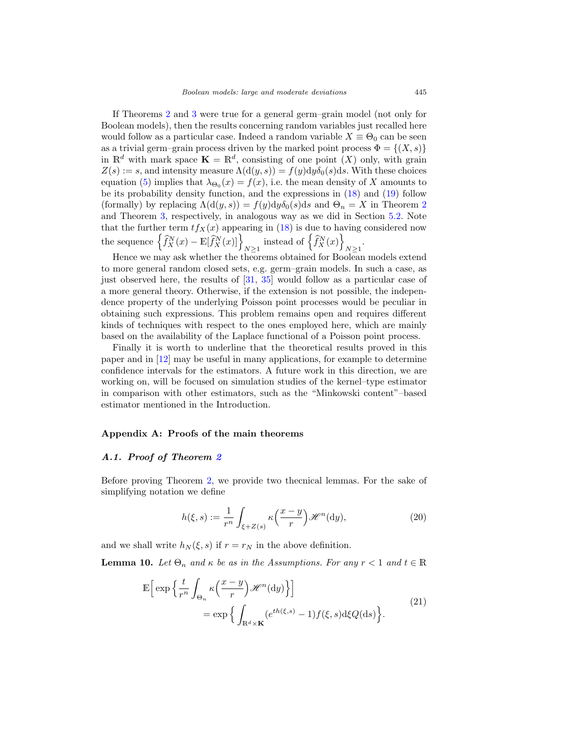If Theorems [2](#page-8-1) and [3](#page-8-2) were true for a general germ–grain model (not only for Boolean models), then the results concerning random variables just recalled here would follow as a particular case. Indeed a random variable  $X \equiv \Theta_0$  can be seen as a trivial germ–grain process driven by the marked point process  $\Phi = \{(X, s)\}\$ in  $\mathbb{R}^d$  with mark space  $\mathbf{K} = \mathbb{R}^d$ , consisting of one point  $(X)$  only, with grain  $Z(s) := s$ , and intensity measure  $\Lambda(\mathrm{d}(y, s)) = f(y) \mathrm{d}y \delta_0(s) \mathrm{d}s$ . With these choices equation [\(5\)](#page-6-1) implies that  $\lambda_{\Theta_0}(x) = f(x)$ , i.e. the mean density of X amounts to be its probability density function, and the expressions in [\(18\)](#page-17-0) and [\(19\)](#page-17-1) follow (formally) by replacing  $\Lambda(\mathrm{d}(y,s)) = f(y) \mathrm{d}y \delta_0(s) \mathrm{d}s$  and  $\Theta_n = X$  in Theorem [2](#page-8-1) and Theorem [3,](#page-8-2) respectively, in analogous way as we did in Section [5.2.](#page-14-0) Note that the further term  $tf_X(x)$  appearing in [\(18\)](#page-17-0) is due to having considered now the sequence  $\left\{ \widehat{f}_{X}^{N}(x) - \mathbb{E}[\widehat{f}_{X}^{N}(x)] \right\}_{N \geq 1}$  instead of  $\left\{ \widehat{f}_{X}^{N}(x) \right\}$  $N\geq 1$ .

Hence we may ask whether the theorems obtained for Boolean models extend to more general random closed sets, e.g. germ–grain models. In such a case, as just observed here, the results of [\[31](#page-33-6), [35\]](#page-33-7) would follow as a particular case of a more general theory. Otherwise, if the extension is not possible, the independence property of the underlying Poisson point processes would be peculiar in obtaining such expressions. This problem remains open and requires different kinds of techniques with respect to the ones employed here, which are mainly based on the availability of the Laplace functional of a Poisson point process.

Finally it is worth to underline that the theoretical results proved in this paper and in [\[12\]](#page-32-13) may be useful in many applications, for example to determine confidence intervals for the estimators. A future work in this direction, we are working on, will be focused on simulation studies of the kernel–type estimator in comparison with other estimators, such as the "Minkowski content"–based estimator mentioned in the Introduction.

#### <span id="page-18-0"></span>**Appendix A: Proofs of the main theorems**

## <span id="page-18-1"></span>*A.1. Proof of Theorem [2](#page-8-1)*

Before proving Theorem [2,](#page-8-1) we provide two thecnical lemmas. For the sake of simplifying notation we define

<span id="page-18-3"></span>
$$
h(\xi, s) := \frac{1}{r^n} \int_{\xi + Z(s)} \kappa\left(\frac{x - y}{r}\right) \mathcal{H}^n(\mathrm{d}y),\tag{20}
$$

and we shall write  $h_N(\xi, s)$  if  $r = r_N$  in the above definition.

<span id="page-18-4"></span><span id="page-18-2"></span>**Lemma 10.** Let  $\Theta_n$  and  $\kappa$  be as in the Assumptions. For any  $r < 1$  and  $t \in \mathbb{R}$ 

$$
\mathbb{E}\Big[\exp\Big\{\frac{t}{r^n}\int_{\Theta_n} \kappa\Big(\frac{x-y}{r}\Big)\mathcal{H}^n(\mathrm{d}y)\Big\}\Big] = \exp\Big\{\int_{\mathbb{R}^d\times\mathbf{K}} (e^{th(\xi,s)} - 1)f(\xi,s)\mathrm{d}\xi Q(\mathrm{d}s)\Big\}.
$$
\n(21)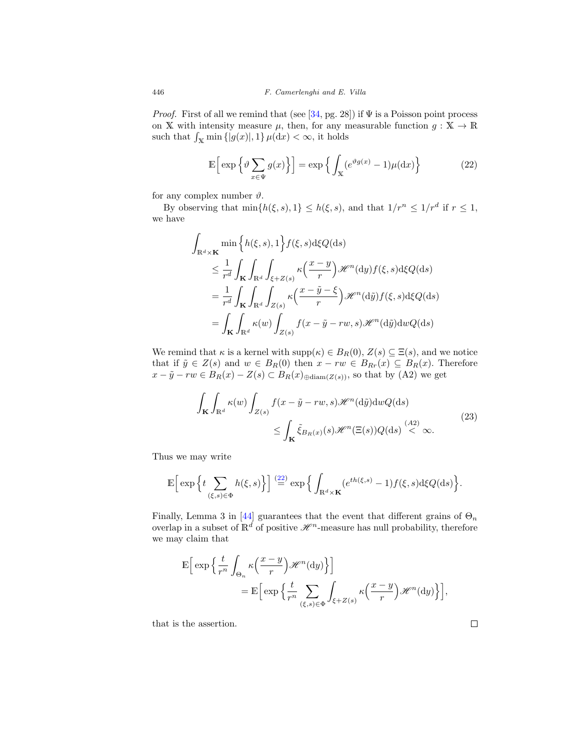*Proof.* First of all we remind that (see [\[34,](#page-33-9) pg. 28]) if  $\Psi$  is a Poisson point process on X with intensity measure  $\mu$ , then, for any measurable function  $g: X \to \mathbb{R}$ such that  $\int_{\mathbb{X}} \min\{|g(x)|, 1\} \mu(\mathrm{d}x) < \infty$ , it holds

<span id="page-19-0"></span>
$$
\mathbb{E}\left[\exp\left\{\vartheta\sum_{x\in\Psi}g(x)\right\}\right] = \exp\left\{\int_{\mathbb{X}}(e^{\vartheta g(x)} - 1)\mu(\mathrm{d}x)\right\} \tag{22}
$$

for any complex number  $\vartheta$ .

By observing that  $\min\{h(\xi, s), 1\} \leq h(\xi, s)$ , and that  $1/r^n \leq 1/r^d$  if  $r \leq 1$ , we have

$$
\int_{\mathbb{R}^d \times \mathbf{K}} \min \left\{ h(\xi, s), 1 \right\} f(\xi, s) d\xi Q(ds)
$$
\n
$$
\leq \frac{1}{r^d} \int_{\mathbf{K}} \int_{\mathbb{R}^d} \int_{\xi + Z(s)} \kappa \left( \frac{x - y}{r} \right) \mathcal{H}^n(\mathrm{d}y) f(\xi, s) d\xi Q(\mathrm{d}s)
$$
\n
$$
= \frac{1}{r^d} \int_{\mathbf{K}} \int_{\mathbb{R}^d} \int_{Z(s)} \kappa \left( \frac{x - \tilde{y} - \xi}{r} \right) \mathcal{H}^n(\mathrm{d}\tilde{y}) f(\xi, s) d\xi Q(\mathrm{d}s)
$$
\n
$$
= \int_{\mathbf{K}} \int_{\mathbb{R}^d} \kappa(w) \int_{Z(s)} f(x - \tilde{y} - rw, s) \mathcal{H}^n(\mathrm{d}\tilde{y}) \mathrm{d}w Q(\mathrm{d}s)
$$

We remind that  $\kappa$  is a kernel with  $\text{supp}(\kappa) \in B_R(0), Z(s) \subseteq \Xi(s)$ , and we notice that if  $\tilde{y} \in Z(s)$  and  $w \in B_R(0)$  then  $x - rw \in B_{Rr}(x) \subseteq B_R(x)$ . Therefore  $x - \tilde{y} - rw \in B_R(x) - Z(s) \subset B_R(x)_{\text{abiam}(Z(s))}$ , so that by (A2) we get

$$
\int_{\mathbf{K}} \int_{\mathbb{R}^d} \kappa(w) \int_{Z(s)} f(x - \tilde{y} - rw, s) \mathcal{H}^n(\mathrm{d}\tilde{y}) \mathrm{d}w Q(\mathrm{d}s)
$$
\n
$$
\leq \int_{\mathbf{K}} \tilde{\xi}_{B_R(x)}(s) \mathcal{H}^n(\Xi(s)) Q(\mathrm{d}s) \stackrel{(A2)}{<} \infty. \tag{23}
$$

<span id="page-19-1"></span>Thus we may write

$$
\mathbb{E}\Big[\exp\Big\{t\sum_{(\xi,s)\in\Phi}h(\xi,s)\Big\}\Big]\stackrel{(22)}{=} \exp\Big\{\int_{\mathbb{R}^d\times\mathbf{K}}(e^{th(\xi,s)}-1)f(\xi,s)\mathrm{d}\xi Q(\mathrm{d}s)\Big\}.
$$

Finally, Lemma 3 in [\[44\]](#page-33-4) guarantees that the event that different grains of  $\Theta_n$ overlap in a subset of  $\mathbb{R}^d$  of positive  $\mathcal{H}^n$ -measure has null probability, therefore we may claim that

$$
\mathbb{E}\Big[\exp\Big\{\frac{t}{r^n}\int_{\Theta_n} \kappa\Big(\frac{x-y}{r}\Big)\mathcal{H}^n(\mathrm{d}y)\Big\}\Big]
$$
  
= 
$$
\mathbb{E}\Big[\exp\Big\{\frac{t}{r^n}\sum_{(\xi,s)\in\Phi}\int_{\xi+Z(s)} \kappa\Big(\frac{x-y}{r}\Big)\mathcal{H}^n(\mathrm{d}y)\Big\}\Big],
$$

that is the assertion.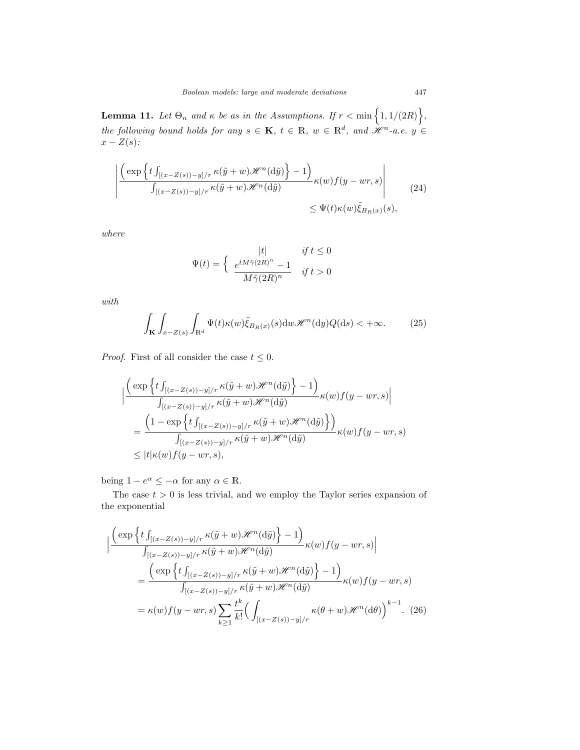<span id="page-20-3"></span>**Lemma 11.** Let  $\Theta_n$  and  $\kappa$  be as in the Assumptions. If  $r < \min\left\{1, 1/(2R)\right\}$ , the following bound holds for any  $s \in \mathbf{K}$ ,  $t \in \mathbb{R}$ ,  $w \in \mathbb{R}^d$ , and  $\mathcal{H}^n$ -a.e.  $y \in$  $x-Z(s)$ :

<span id="page-20-1"></span>
$$
\left| \frac{\left( \exp \left\{ t \int_{[(x-Z(s))-y]/r} \kappa(\tilde{y}+w) \mathcal{H}^n(\mathrm{d}\tilde{y}) \right\} - 1 \right)}{\int_{[(x-Z(s))-y]/r} \kappa(\tilde{y}+w) \mathcal{H}^n(\mathrm{d}\tilde{y})} \kappa(w) f(y-wr,s) \right|} \qquad (24)
$$
  

$$
\leq \Psi(t) \kappa(w) \tilde{\xi}_{B_R(x)}(s),
$$

where

$$
\Psi(t) = \begin{cases}\n|t| & \text{if } t \le 0 \\
\frac{e^{tM\tilde{\gamma}(2R)^n} - 1}{M\tilde{\gamma}(2R)^n} & \text{if } t > 0\n\end{cases}
$$

with

<span id="page-20-2"></span>
$$
\int_{\mathbf{K}} \int_{x-Z(s)} \int_{\mathbb{R}^d} \Psi(t) \kappa(w) \tilde{\xi}_{B_R(x)}(s) \mathrm{d}w \mathcal{H}^n(\mathrm{d}y) Q(\mathrm{d}s) < +\infty. \tag{25}
$$

*Proof.* First of all consider the case  $t \leq 0$ .

$$
\begin{split} & \Big| \frac{\Big(\exp\Big\{t\int_{[(x-Z(s))-y]/r}\kappa(\tilde{y}+w)\mathscr{H}^n(\mathrm{d}\tilde{y})\Big\}-1\Big)}{\int_{[(x-Z(s))-y]/r}\kappa(\tilde{y}+w)\mathscr{H}^n(\mathrm{d}\tilde{y})} \kappa(w)f(y-wr,s) \Big| \\ &= \frac{\Big(1-\exp\Big\{t\int_{[(x-Z(s))-y]/r}\kappa(\tilde{y}+w)\mathscr{H}^n(\mathrm{d}\tilde{y})\Big\}\Big)}{\int_{[(x-Z(s))-y]/r}\kappa(\tilde{y}+w)\mathscr{H}^n(\mathrm{d}\tilde{y})} \kappa(w)f(y-wr,s) \\ &\leq |t|\kappa(w)f(y-wr,s), \end{split}
$$

being  $1 - e^{\alpha} \leq -\alpha$  for any  $\alpha \in \mathbb{R}$ .

The case  $t > 0$  is less trivial, and we employ the Taylor series expansion of the exponential

<span id="page-20-0"></span>
$$
\begin{split}\n&\left|\frac{\left(\exp\left\{t\int_{[(x-Z(s))-y]/r}\kappa(\tilde{y}+w)\mathcal{H}^n(\mathrm{d}\tilde{y})\right\}-1\right)}{\int_{[(x-Z(s))-y]/r}\kappa(\tilde{y}+w)\mathcal{H}^n(\mathrm{d}\tilde{y})}\kappa(w)f(y-wr,s)\right| \\
&=\frac{\left(\exp\left\{t\int_{[(x-Z(s))-y]/r}\kappa(\tilde{y}+w)\mathcal{H}^n(\mathrm{d}\tilde{y})\right\}-1\right)}{\int_{[(x-Z(s))-y]/r}\kappa(\tilde{y}+w)\mathcal{H}^n(\mathrm{d}\tilde{y})}\kappa(w)f(y-wr,s) \\
&=\kappa(w)f(y-wr,s)\sum_{k\geq 1}\frac{t^k}{k!}\left(\int_{[(x-Z(s))-y]/r}\kappa(\theta+w)\mathcal{H}^n(\mathrm{d}\theta)\right)^{k-1}.\n\end{split} \tag{26}
$$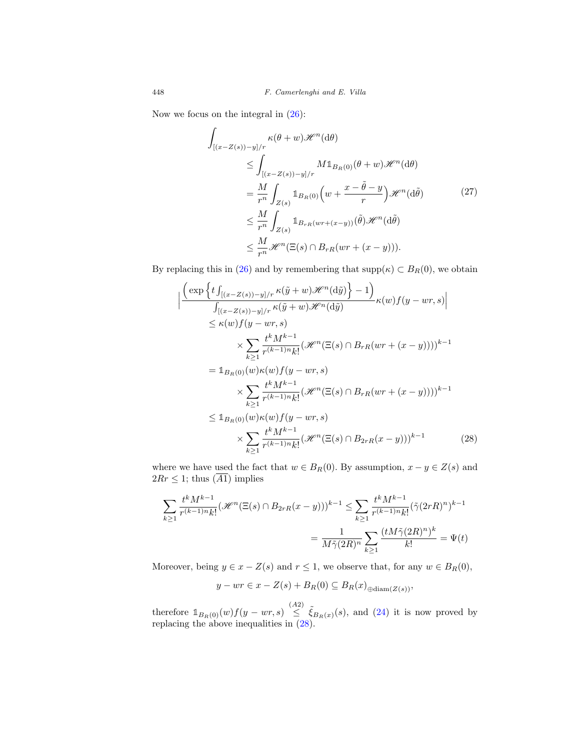Now we focus on the integral in  $(26)$ :

<span id="page-21-1"></span>
$$
\int_{[(x-Z(s))-y]/r} \kappa(\theta+w) \mathcal{H}^n(\mathrm{d}\theta)
$$
\n
$$
\leq \int_{[(x-Z(s))-y]/r} M1_{B_R(0)}(\theta+w) \mathcal{H}^n(\mathrm{d}\theta)
$$
\n
$$
= \frac{M}{r^n} \int_{Z(s)} 1_{B_R(0)} \left( w + \frac{x - \tilde{\theta} - y}{r} \right) \mathcal{H}^n(\mathrm{d}\tilde{\theta})
$$
\n
$$
\leq \frac{M}{r^n} \int_{Z(s)} 1_{B_{rR}(wr + (x-y))} (\tilde{\theta}) \mathcal{H}^n(\mathrm{d}\tilde{\theta})
$$
\n
$$
\leq \frac{M}{r^n} \mathcal{H}^n(\Xi(s) \cap B_{rR}(wr + (x - y))).
$$
\n(27)

By replacing this in [\(26\)](#page-20-0) and by remembering that  $\text{supp}(\kappa) \subset B_R(0)$ , we obtain

$$
\left| \frac{\left(\exp\left\{t\int_{[(x-Z(s))-y]/r} \kappa(\tilde{y}+w)\mathcal{H}^n(\mathrm{d}\tilde{y})\right\}-1\right)}{\int_{[(x-Z(s))-y]/r} \kappa(\tilde{y}+w)\mathcal{H}^n(\mathrm{d}\tilde{y})} \kappa(w)f(y-wr,s) \right|}
$$
  
\n
$$
\leq \kappa(w)f(y-wr,s)
$$
  
\n
$$
\times \sum_{k\geq 1} \frac{t^k M^{k-1}}{r^{(k-1)n}k!} (\mathcal{H}^n(\Xi(s)\cap B_{rR}(wr+(x-y))))^{k-1}
$$
  
\n
$$
= \mathbb{1}_{B_R(0)}(w)\kappa(w)f(y-wr,s)
$$
  
\n
$$
\times \sum_{k\geq 1} \frac{t^k M^{k-1}}{r^{(k-1)n}k!} (\mathcal{H}^n(\Xi(s)\cap B_{rR}(wr+(x-y))))^{k-1}
$$
  
\n
$$
\leq \mathbb{1}_{B_R(0)}(w)\kappa(w)f(y-wr,s)
$$
  
\n
$$
\times \sum_{k\geq 1} \frac{t^k M^{k-1}}{r^{(k-1)n}k!} (\mathcal{H}^n(\Xi(s)\cap B_{2rR}(x-y)))^{k-1}
$$
 (28)

where we have used the fact that  $w \in B_R(0)$ . By assumption,  $x - y \in Z(s)$  and  $2Rr \leq 1$ ; thus  $(\overline{A1})$  implies

$$
\sum_{k\geq 1} \frac{t^k M^{k-1}}{r^{(k-1)n} k!} (\mathcal{H}^n(\Xi(s) \cap B_{2rR}(x-y)))^{k-1} \leq \sum_{k\geq 1} \frac{t^k M^{k-1}}{r^{(k-1)n} k!} (\tilde{\gamma}(2rR)^n)^{k-1}
$$

$$
= \frac{1}{M\tilde{\gamma}(2R)^n} \sum_{k\geq 1} \frac{(t M\tilde{\gamma}(2R)^n)^k}{k!} = \Psi(t)
$$

Moreover, being  $y \in x - Z(s)$  and  $r \leq 1$ , we observe that, for any  $w \in B_R(0)$ ,

<span id="page-21-0"></span>
$$
y - wr \in x - Z(s) + B_R(0) \subseteq B_R(x)_{\oplus \text{diam}(Z(s))},
$$

therefore  $1_{B_R(0)}(w)f(y-wr,s) \leq \tilde{\xi}_{B_R(x)}(s)$ , and [\(24\)](#page-20-1) it is now proved by replacing the above inequalities in  $(28)$ .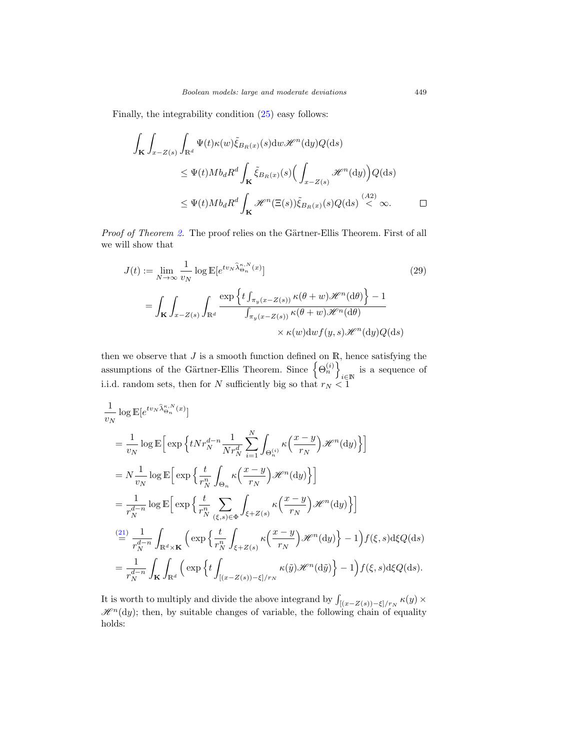Finally, the integrability condition [\(25\)](#page-20-2) easy follows:

$$
\int_{\mathbf{K}} \int_{x-Z(s)} \int_{\mathbb{R}^d} \Psi(t) \kappa(w) \tilde{\xi}_{B_R(x)}(s) \mathrm{d}w \mathcal{H}^n(\mathrm{d}y) Q(\mathrm{d}s)
$$
\n
$$
\leq \Psi(t) M b_d R^d \int_{\mathbf{K}} \tilde{\xi}_{B_R(x)}(s) \Big( \int_{x-Z(s)} \mathcal{H}^n(\mathrm{d}y) \Big) Q(\mathrm{d}s)
$$
\n
$$
\leq \Psi(t) M b_d R^d \int_{\mathbf{K}} \mathcal{H}^n(\Xi(s)) \tilde{\xi}_{B_R(x)}(s) Q(\mathrm{d}s) \stackrel{(A2)}{<} \infty. \qquad \Box
$$

Proof of Theorem [2.](#page-8-1) The proof relies on the Gärtner-Ellis Theorem. First of all we will show that

$$
J(t) := \lim_{N \to \infty} \frac{1}{v_N} \log \mathbb{E}[e^{tv_N \widehat{\lambda}_{\Theta_n}^{\kappa, N}(x)}]
$$
(29)  

$$
= \int_{\mathbf{K}} \int_{x - Z(s)} \int_{\mathbb{R}^d} \frac{\exp \left\{ t \int_{\pi_y(x - Z(s))} \kappa(\theta + w) \mathcal{H}^n(\mathrm{d}\theta) \right\} - 1}{\int_{\pi_y(x - Z(s))} \kappa(\theta + w) \mathcal{H}^n(\mathrm{d}\theta)} \times \kappa(w) \mathrm{d}w f(y, s) \mathcal{H}^n(\mathrm{d}y) Q(\mathrm{d}s)
$$

then we observe that  $J$  is a smooth function defined on  $\mathbb{R}$ , hence satisfying the assumptions of the Gärtner-Ellis Theorem. Since  $\{ \Theta_n^{(i)} \}$ i∈N is a sequence of i.i.d. random sets, then for N sufficiently big so that  $r_N < 1$ 

$$
\frac{1}{v_N} \log \mathbb{E} [e^{tv_N \widehat{\lambda}_{\Theta_n}^{\kappa, N}(x)}]
$$
\n
$$
= \frac{1}{v_N} \log \mathbb{E} \Big[ \exp \Big\{ t N r_N^{d-n} \frac{1}{N r_N^d} \sum_{i=1}^N \int_{\Theta_n^{(i)}} \kappa \Big( \frac{x-y}{r_N} \Big) \mathcal{H}^n(\mathrm{d}y) \Big\} \Big]
$$
\n
$$
= N \frac{1}{v_N} \log \mathbb{E} \Big[ \exp \Big\{ \frac{t}{r_N^n} \int_{\Theta_n} \kappa \Big( \frac{x-y}{r_N} \Big) \mathcal{H}^n(\mathrm{d}y) \Big\} \Big]
$$
\n
$$
= \frac{1}{r_N^{d-n}} \log \mathbb{E} \Big[ \exp \Big\{ \frac{t}{r_N^n} \sum_{(\xi, s) \in \Phi} \int_{\xi + Z(s)} \kappa \Big( \frac{x-y}{r_N} \Big) \mathcal{H}^n(\mathrm{d}y) \Big\} \Big]
$$
\n
$$
\stackrel{\text{(21)}}{=} \frac{1}{r_N^{d-n}} \int_{\mathbb{R}^d \times \mathbf{K}} \Big( \exp \Big\{ \frac{t}{r_N^n} \int_{\xi + Z(s)} \kappa \Big( \frac{x-y}{r_N} \Big) \mathcal{H}^n(\mathrm{d}y) \Big\} - 1 \Big) f(\xi, s) \mathrm{d}\xi Q(\mathrm{d}s)
$$
\n
$$
= \frac{1}{r_N^{d-n}} \int_{\mathbf{K}} \int_{\mathbb{R}^d} \Big( \exp \Big\{ t \int_{[(x - Z(s)) - \xi] / r_N} \kappa(\tilde{y}) \mathcal{H}^n(\mathrm{d}\tilde{y}) \Big\} - 1 \Big) f(\xi, s) \mathrm{d}\xi Q(\mathrm{d}s).
$$

It is worth to multiply and divide the above integrand by  $\int_{[(x-Z(s))-\xi]/r_N} \kappa(y) \times$  $\mathscr{H}^n(\mathrm{d}y)$ ; then, by suitable changes of variable, the following chain of equality holds:

<span id="page-22-0"></span>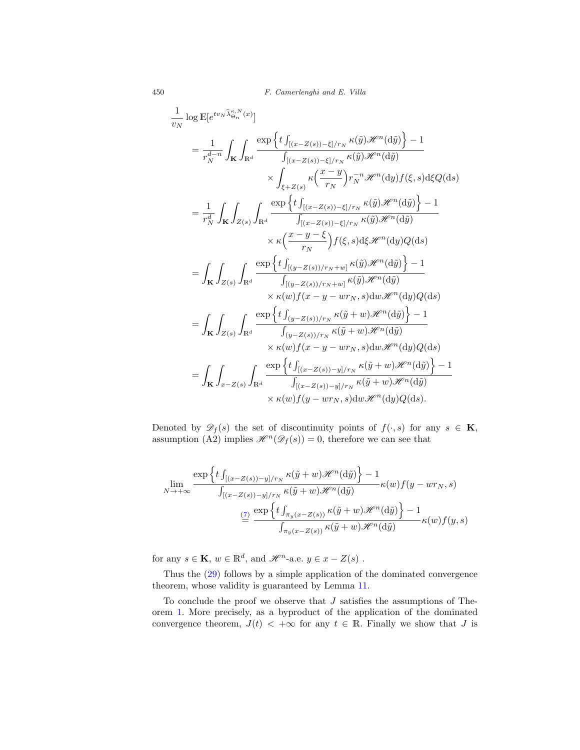450 F. Camerlenghi and E. Villa

$$
\frac{1}{v_N} \log \mathbb{E}[e^{tv_N \hat{\lambda}_{\Theta_n}^{K,N}(x)}] \n= \frac{1}{r_N^{d-n}} \int_{\mathbf{K}} \int_{\mathbb{R}^d} \frac{\exp \left\{ t \int_{[(x-Z(s))-\xi]/r_N} \kappa(\tilde{y}) \mathcal{H}^n(\mathrm{d}\tilde{y}) \right\} - 1}{\int_{[(x-Z(s))-\xi]/r_N} \kappa(\tilde{y}) \mathcal{H}^n(\mathrm{d}\tilde{y})} \times \int_{\xi+Z(s)} \kappa \left( \frac{x-y}{r_N} \right) r_N^{-n} \mathcal{H}^n(\mathrm{d}y) f(\xi, s) \mathrm{d}\xi Q(\mathrm{d}s) \n= \frac{1}{r_N^d} \int_{\mathbf{K}} \int_{Z(s)} \int_{\mathbb{R}^d} \frac{\exp \left\{ t \int_{[(x-Z(s))-\xi]/r_N} \kappa(\tilde{y}) \mathcal{H}^n(\mathrm{d}\tilde{y}) \right\} - 1}{\int_{[(x-Z(s))/\tau_N + \kappa(\tilde{y}) \mathcal{H}^n(\mathrm{d}\tilde{y})} \times \kappa \left( \frac{x-y-\xi}{r_N} \right) f(\xi, s) \mathrm{d}\xi \mathcal{H}^n(\mathrm{d}y) Q(\mathrm{d}s) \n= \int_{\mathbf{K}} \int_{Z(s)} \int_{\mathbb{R}^d} \frac{\exp \left\{ t \int_{[(y-Z(s))/r_N + w]} \kappa(\tilde{y}) \mathcal{H}^n(\mathrm{d}\tilde{y}) \right\} - 1}{\int_{[(y-Z(s))/r_N + w]} \kappa(\tilde{y}) \mathcal{H}^n(\mathrm{d}\tilde{y})} \times \kappa(w) f(x-y-wr_N, s) \mathrm{d}w \mathcal{H}^n(\mathrm{d}\tilde{y}) \right\} - 1 \n= \int_{\mathbf{K}} \int_{Z(s)} \int_{\mathbb{R}^d} \frac{\exp \left\{ t \int_{(y-Z(s))/r_N} \kappa(\tilde{y} + w) \mathcal{H}^n(\mathrm{d}\tilde{y}) \right\} - 1}{\int_{[(x-Z(s))/r_N + \kappa(\tilde{y} + w) \mathcal{H}^n(\mathrm{d}\tilde{y})} \times \kappa(w) f(x-y-wr_N, s)
$$

Denoted by  $\mathscr{D}_f(s)$  the set of discontinuity points of  $f(\cdot, s)$  for any  $s \in \mathbf{K}$ , assumption (A2) implies  $\mathcal{H}^n(\mathcal{D}_f(s)) = 0$ , therefore we can see that

$$
\lim_{N \to +\infty} \frac{\exp\left\{t \int_{[(x-Z(s))-y]/r_N} \kappa(\tilde{y}+w) \mathcal{H}^n(\mathrm{d}\tilde{y})\right\}-1}{\int_{[(x-Z(s))-y]/r_N} \kappa(\tilde{y}+w) \mathcal{H}^n(\mathrm{d}\tilde{y})} \kappa(w) f(y-wr_N, s)
$$
\n
$$
\stackrel{\text{(7)}}{=} \frac{\exp\left\{t \int_{\pi_y(x-Z(s))} \kappa(\tilde{y}+w) \mathcal{H}^n(\mathrm{d}\tilde{y})\right\}-1}{\int_{\pi_y(x-Z(s))} \kappa(\tilde{y}+w) \mathcal{H}^n(\mathrm{d}\tilde{y})} \kappa(w) f(y, s)
$$

for any  $s \in \mathbf{K}, w \in \mathbb{R}^d$  , and  $\mathscr{H}^n$  -a.e.  $y \in x - Z(s)$  .

Thus the [\(29\)](#page-22-0) follows by a simple application of the dominated convergence theorem, whose validity is guaranteed by Lemma [11.](#page-20-3)

To conclude the proof we observe that  $J$  satisfies the assumptions of Theorem [1.](#page-5-0) More precisely, as a byproduct of the application of the dominated convergence theorem,  $J(t) < +\infty$  for any  $t \in \mathbb{R}$ . Finally we show that J is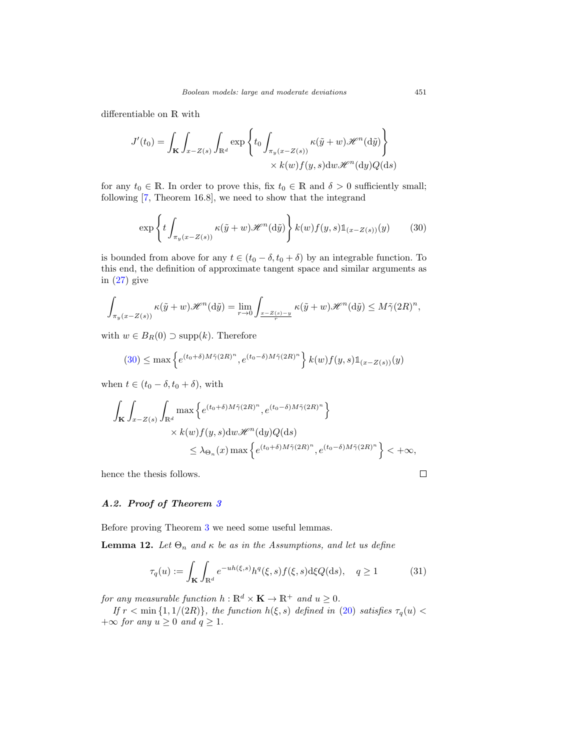differentiable on R with

$$
J'(t_0) = \int_{\mathbf{K}} \int_{x - Z(s)} \int_{\mathbb{R}^d} \exp \left\{ t_0 \int_{\pi_y(x - Z(s))} \kappa(\tilde{y} + w) \mathcal{H}^n(\mathrm{d}\tilde{y}) \right\}
$$

$$
\times k(w) f(y, s) \mathrm{d}w \mathcal{H}^n(\mathrm{d}y) Q(\mathrm{d}s)
$$

for any  $t_0 \in \mathbb{R}$ . In order to prove this, fix  $t_0 \in \mathbb{R}$  and  $\delta > 0$  sufficiently small; following [\[7,](#page-31-12) Theorem 16.8], we need to show that the integrand

<span id="page-24-1"></span>
$$
\exp\left\{t\int_{\pi_y(x-Z(s))}\kappa(\tilde{y}+w)\mathscr{H}^n(\mathrm{d}\tilde{y})\right\}k(w)f(y,s)\mathbb{1}_{(x-Z(s))}(y)\qquad(30)
$$

is bounded from above for any  $t \in (t_0 - \delta, t_0 + \delta)$  by an integrable function. To this end, the definition of approximate tangent space and similar arguments as in [\(27\)](#page-21-1) give

$$
\int_{\pi_y(x-Z(s))} \kappa(\tilde{y}+w) \mathscr{H}^n(\mathrm{d}\tilde{y}) = \lim_{r \to 0} \int_{\frac{x-Z(s)-y}{r}} \kappa(\tilde{y}+w) \mathscr{H}^n(\mathrm{d}\tilde{y}) \le M\tilde{\gamma}(2R)^n,
$$

with  $w \in B_R(0) \supset \text{supp}(k)$ . Therefore

$$
(30) \le \max\left\{e^{(t_0+\delta)M\tilde{\gamma}(2R)^n}, e^{(t_0-\delta)M\tilde{\gamma}(2R)^n}\right\}k(w)f(y,s)\mathbb{1}_{(x-Z(s))}(y)
$$

when  $t \in (t_0 - \delta, t_0 + \delta)$ , with

$$
\int_{\mathbf{K}} \int_{x-Z(s)} \int_{\mathbb{R}^d} \max \left\{ e^{(t_0+\delta)M\tilde{\gamma}(2R)^n}, e^{(t_0-\delta)M\tilde{\gamma}(2R)^n} \right\}
$$
\n
$$
\times k(w) f(y,s) \, dw \, \mathcal{H}^n(\mathrm{d}y) Q(\mathrm{d}s)
$$
\n
$$
\leq \lambda_{\Theta_n}(x) \max \left\{ e^{(t_0+\delta)M\tilde{\gamma}(2R)^n}, e^{(t_0-\delta)M\tilde{\gamma}(2R)^n} \right\} < +\infty,
$$

hence the thesis follows.

## <span id="page-24-0"></span>*A.2. Proof of Theorem [3](#page-8-2)*

Before proving Theorem [3](#page-8-2) we need some useful lemmas.

<span id="page-24-3"></span>**Lemma 12.** Let  $\Theta_n$  and  $\kappa$  be as in the Assumptions, and let us define

$$
\tau_q(u) := \int_{\mathbf{K}} \int_{\mathbb{R}^d} e^{-uh(\xi, s)} h^q(\xi, s) f(\xi, s) d\xi Q(ds), \quad q \ge 1 \tag{31}
$$

for any measurable function  $h : \mathbb{R}^d \times \mathbf{K} \to \mathbb{R}^+$  and  $u \geq 0$ .

If  $r < \min\{1, 1/(2R)\}\$ , the function  $h(\xi, s)$  defined in [\(20\)](#page-18-3) satisfies  $\tau_q(u) <$  $+\infty$  for any  $u \geq 0$  and  $q \geq 1$ .

<span id="page-24-2"></span> $\Box$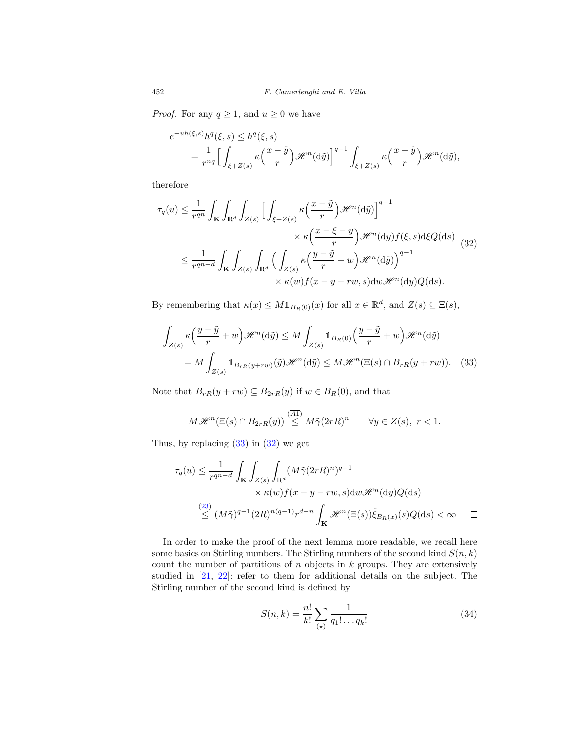*Proof.* For any  $q \geq 1$ , and  $u \geq 0$  we have

$$
e^{-uh(\xi,s)}h^{q}(\xi,s) \leq h^{q}(\xi,s)
$$
  
= 
$$
\frac{1}{r^{nq}} \Big[ \int_{\xi+Z(s)} \kappa\Big(\frac{x-\tilde{y}}{r}\Big) \mathcal{H}^{n}(\mathrm{d}\tilde{y}) \Big]^{q-1} \int_{\xi+Z(s)} \kappa\Big(\frac{x-\tilde{y}}{r}\Big) \mathcal{H}^{n}(\mathrm{d}\tilde{y}),
$$

therefore

<span id="page-25-1"></span>
$$
\tau_q(u) \leq \frac{1}{r^{qn}} \int_{\mathbf{K}} \int_{\mathbb{R}^d} \int_{Z(s)} \Big[ \int_{\xi + Z(s)} \kappa \Big( \frac{x - \tilde{y}}{r} \Big) \mathcal{H}^n(\mathrm{d}\tilde{y}) \Big]^{q-1} \times \kappa \Big( \frac{x - \xi - y}{r} \Big) \mathcal{H}^n(\mathrm{d}y) f(\xi, s) \mathrm{d}\xi Q(\mathrm{d}s) \Big]
$$
  

$$
\leq \frac{1}{r^{qn-d}} \int_{\mathbf{K}} \int_{Z(s)} \int_{\mathbb{R}^d} \Big( \int_{Z(s)} \kappa \Big( \frac{y - \tilde{y}}{r} + w \Big) \mathcal{H}^n(\mathrm{d}\tilde{y}) \Big)^{q-1} \times \kappa(w) f(x - y - rw, s) \mathrm{d}w \mathcal{H}^n(\mathrm{d}y) Q(\mathrm{d}s).
$$
 (32)

By remembering that  $\kappa(x) \leq M \mathbb{1}_{B_R(0)}(x)$  for all  $x \in \mathbb{R}^d$ , and  $Z(s) \subseteq \Xi(s)$ ,

$$
\int_{Z(s)} \kappa \left( \frac{y - \tilde{y}}{r} + w \right) \mathcal{H}^n(\mathrm{d}\tilde{y}) \le M \int_{Z(s)} \mathbb{1}_{B_R(0)} \left( \frac{y - \tilde{y}}{r} + w \right) \mathcal{H}^n(\mathrm{d}\tilde{y})
$$
\n
$$
= M \int_{Z(s)} \mathbb{1}_{B_{rR}(y+rw)}(\tilde{y}) \mathcal{H}^n(\mathrm{d}\tilde{y}) \le M \mathcal{H}^n(\Xi(s) \cap B_{rR}(y+rw)). \quad (33)
$$

Note that  $B_{rR}(y+rw) \subseteq B_{2rR}(y)$  if  $w \in B_R(0)$ , and that

<span id="page-25-0"></span>
$$
M\mathscr{H}^n(\Xi(s)\cap B_{2rR}(y))\stackrel{(\overline{A1})}{\leq}M\tilde{\gamma}(2rR)^n\qquad\forall y\in Z(s),\ r<1.
$$

Thus, by replacing  $(33)$  in  $(32)$  we get

$$
\tau_q(u) \le \frac{1}{r^{qn-d}} \int_{\mathbf{K}} \int_{Z(s)} \int_{\mathbb{R}^d} (M \tilde{\gamma}(2rR)^n)^{q-1} \times \kappa(w) f(x - y - rw, s) dw \mathcal{H}^n(\mathrm{d}y) Q(\mathrm{d}s)
$$
  

$$
\stackrel{(23)}{\le} (M \tilde{\gamma})^{q-1} (2R)^{n(q-1)} r^{d-n} \int_{\mathbf{K}} \mathcal{H}^n(\Xi(s)) \tilde{\xi}_{B_R(x)}(s) Q(\mathrm{d}s) < \infty \quad \square
$$

In order to make the proof of the next lemma more readable, we recall here some basics on Stirling numbers. The Stirling numbers of the second kind  $S(n, k)$ count the number of partitions of  $n$  objects in  $k$  groups. They are extensively studied in [\[21,](#page-32-15) [22](#page-32-16)]: refer to them for additional details on the subject. The Stirling number of the second kind is defined by

<span id="page-25-2"></span>
$$
S(n,k) = \frac{n!}{k!} \sum_{(\star)} \frac{1}{q_1! \dots q_k!}
$$
 (34)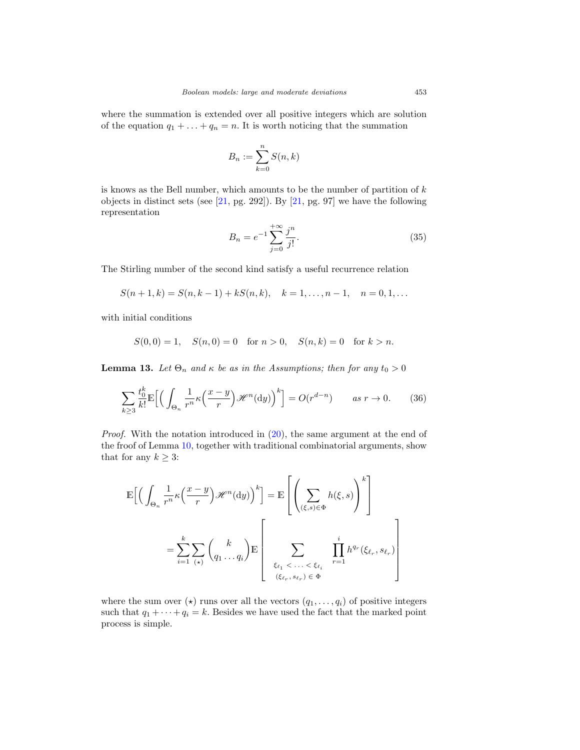where the summation is extended over all positive integers which are solution of the equation  $q_1 + \ldots + q_n = n$ . It is worth noticing that the summation

$$
B_n := \sum_{k=0}^n S(n,k)
$$

is knows as the Bell number, which amounts to be the number of partition of  $k$ objects in distinct sets (see  $[21, pg. 292]$  $[21, pg. 292]$ ). By  $[21, pg. 97]$  $[21, pg. 97]$  we have the following representation

<span id="page-26-0"></span>
$$
B_n = e^{-1} \sum_{j=0}^{+\infty} \frac{j^n}{j!}.
$$
 (35)

The Stirling number of the second kind satisfy a useful recurrence relation

$$
S(n+1,k) = S(n,k-1) + kS(n,k), \quad k = 1, \dots, n-1, \quad n = 0, 1, \dots
$$

with initial conditions

$$
S(0,0) = 1, \quad S(n,0) = 0 \quad \text{for } n > 0, \quad S(n,k) = 0 \quad \text{for } k > n.
$$

**Lemma 13.** Let  $\Theta_n$  and  $\kappa$  be as in the Assumptions; then for any  $t_0 > 0$ 

<span id="page-26-1"></span>
$$
\sum_{k\geq 3} \frac{t_0^k}{k!} \mathbb{E}\Big[ \Big( \int_{\Theta_n} \frac{1}{r^n} \kappa\Big(\frac{x-y}{r}\Big) \mathcal{H}^n(\mathrm{d}y) \Big)^k \Big] = O(r^{d-n}) \qquad \text{as } r \to 0. \tag{36}
$$

*Proof.* With the notation introduced in  $(20)$ , the same argument at the end of the froof of Lemma [10,](#page-18-4) together with traditional combinatorial arguments, show that for any  $k \geq 3$ :

$$
\mathbb{E}\Big[\Big(\int_{\Theta_n} \frac{1}{r^n} \kappa\Big(\frac{x-y}{r}\Big) \mathcal{H}^n(\mathrm{d}y)\Big)^k\Big] = \mathbb{E}\left[\left(\sum_{(\xi,s)\in\Phi} h(\xi,s)\right)^k\right]
$$

$$
= \sum_{i=1}^k \sum_{(\star)} \binom{k}{q_1 \dots q_i} \mathbb{E}\left[\sum_{\xi_{\ell_1} < \dots < \xi_{\ell_i}} \prod_{r=1}^i h^{q_r}(\xi_{\ell_r}, s_{\ell_r})\right]
$$

where the sum over  $(\star)$  runs over all the vectors  $(q_1,\ldots,q_i)$  of positive integers such that  $q_1 + \cdots + q_i = k$ . Besides we have used the fact that the marked point process is simple.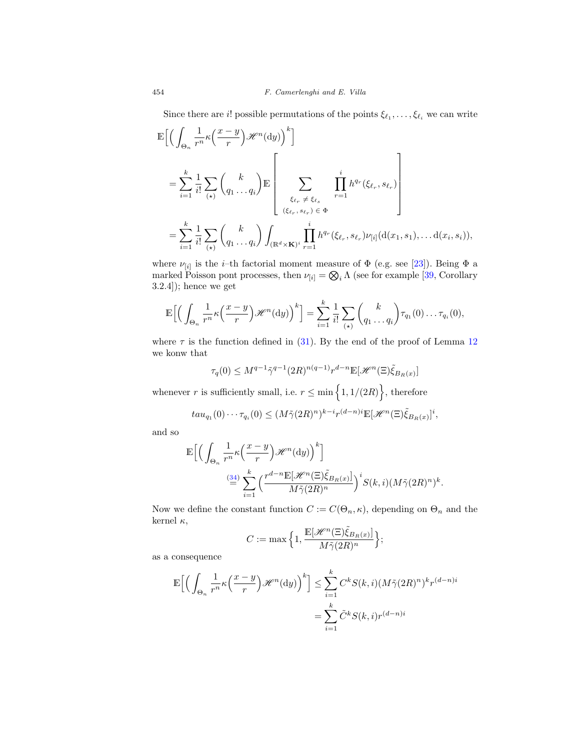Since there are *i*! possible permutations of the points  $\xi_{\ell_1}, \ldots, \xi_{\ell_i}$  we can write

$$
\mathbb{E}\Big[\Big(\int_{\Theta_n} \frac{1}{r^n} \kappa\Big(\frac{x-y}{r}\Big) \mathcal{H}^n(\mathrm{d}y)\Big)^k\Big]
$$
\n
$$
= \sum_{i=1}^k \frac{1}{i!} \sum_{(\star)} \binom{k}{q_1 \dots q_i} \mathbb{E}\left[\sum_{\substack{\xi_{\ell_r} \neq \xi_{\ell_s} \\ (\xi_{\ell_r}, s_{\ell_r}) \in \Phi}} \prod_{r=1}^i h^{q_r}(\xi_{\ell_r}, s_{\ell_r})\right]
$$
\n
$$
= \sum_{i=1}^k \frac{1}{i!} \sum_{(\star)} \binom{k}{q_1 \dots q_i} \int_{(\mathbb{R}^d \times \mathbf{K})^i} \prod_{r=1}^i h^{q_r}(\xi_{\ell_r}, s_{\ell_r}) \nu_{[i]}(\mathrm{d}(x_1, s_1), \dots \mathrm{d}(x_i, s_i)),
$$

where  $\nu_{[i]}$  is the *i*–th factorial moment measure of  $\Phi$  (e.g. see [\[23](#page-32-8)]). Being  $\Phi$  a marked Poisson pont processes, then  $\nu_{[i]} = \bigotimes_i \Lambda$  (see for example [\[39](#page-33-12), Corollary 3.2.4]); hence we get

$$
\mathbb{E}\Big[\Big(\int_{\Theta_n} \frac{1}{r^n} \kappa\Big(\frac{x-y}{r}\Big) \mathscr{H}^n(\mathrm{d}y)\Big)^k\Big] = \sum_{i=1}^k \frac{1}{i!} \sum_{(\star)} \binom{k}{q_1 \ldots q_i} \tau_{q_1}(0) \ldots \tau_{q_i}(0),
$$

where  $\tau$  is the function defined in [\(31\)](#page-24-2). By the end of the proof of Lemma [12](#page-24-3) we konw that

$$
\tau_q(0) \le M^{q-1} \tilde{\gamma}^{q-1} (2R)^{n(q-1)} r^{d-n} \mathbb{E}[\mathcal{H}^n(\Xi) \tilde{\xi}_{B_R(x)}]
$$

whenever r is sufficiently small, i.e.  $r \leq \min\left\{1, 1/(2R)\right\}$ , therefore

$$
tau_{q_1}(0)\cdots\tau_{q_i}(0) \leq (M\tilde{\gamma}(2R)^n)^{k-i}r^{(d-n)i}\mathbb{E}[\mathscr{H}^n(\Xi)\tilde{\xi}_{B_R(x)}]^i,
$$

and so

$$
\begin{split} \mathbb{E}\Big[\Big(\int_{\Theta_n} \frac{1}{r^n} \kappa\Big(\frac{x-y}{r}\Big)\mathscr{H}^n(\textup{d} y)\Big)^k\Big] \\ \overset{(34)}{=}&\sum_{i=1}^k \Big(\frac{r^{d-n} \mathbb{E}[\mathscr{H}^n(\Xi)\tilde{\xi}_{B_R(x)}]}{M\tilde{\gamma}(2R)^n}\Big)^i S(k,i) (M\tilde{\gamma}(2R)^n)^k. \end{split}
$$

Now we define the constant function  $C := C(\Theta_n, \kappa)$ , depending on  $\Theta_n$  and the kernel  $\kappa$ ,

$$
C := \max\Big\{1, \frac{\mathbb{E}[\mathcal{H}^n(\Xi)\tilde{\xi}_{B_R(x)}]}{M\tilde{\gamma}(2R)^n}\Big\};
$$

as a consequence

$$
\mathbb{E}\Big[\Big(\int_{\Theta_n} \frac{1}{r^n} \kappa\Big(\frac{x-y}{r}\Big) \mathcal{H}^n(\mathrm{d}y)\Big)^k\Big] \le \sum_{i=1}^k C^k S(k,i) (M\tilde{\gamma}(2R)^n)^k r^{(d-n)i}
$$

$$
= \sum_{i=1}^k \tilde{C}^k S(k,i) r^{(d-n)i}
$$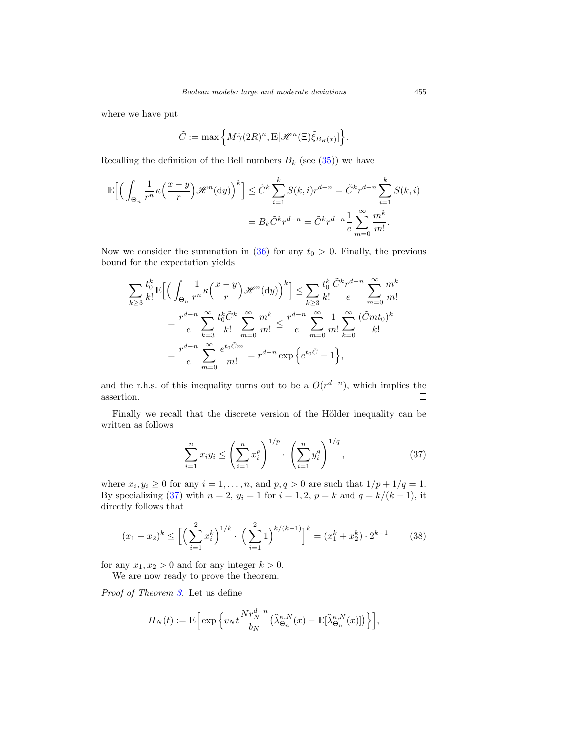where we have put

$$
\tilde{C}:=\max\Big\{M\tilde{\gamma}(2R)^n, \mathbb{E}[\mathscr{H}^n(\Xi)\tilde{\xi}_{B_R(x)}]\Big\}.
$$

Recalling the definition of the Bell numbers  $B_k$  (see [\(35\)](#page-26-0)) we have

$$
\mathbb{E}\Big[\Big(\int_{\Theta_n} \frac{1}{r^n} \kappa\Big(\frac{x-y}{r}\Big) \mathcal{H}^n(\mathrm{d}y)\Big)^k\Big] \leq \tilde{C}^k \sum_{i=1}^k S(k,i) r^{d-n} = \tilde{C}^k r^{d-n} \sum_{i=1}^k S(k,i)
$$

$$
= B_k \tilde{C}^k r^{d-n} = \tilde{C}^k r^{d-n} \frac{1}{e} \sum_{m=0}^\infty \frac{m^k}{m!}.
$$

Now we consider the summation in [\(36\)](#page-26-1) for any  $t_0 > 0$ . Finally, the previous bound for the expectation yields

$$
\sum_{k\geq 3} \frac{t_0^k}{k!} \mathbb{E}\Big[\Big(\int_{\Theta_n} \frac{1}{r^n} \kappa\Big(\frac{x-y}{r}\Big) \mathcal{H}^n(\mathrm{d}y)\Big)^k\Big] \leq \sum_{k\geq 3} \frac{t_0^k}{k!} \frac{\tilde{C}^k r^{d-n}}{e} \sum_{m=0}^{\infty} \frac{m^k}{m!}
$$

$$
= \frac{r^{d-n}}{e} \sum_{k=3}^{\infty} \frac{t_0^k \tilde{C}^k}{k!} \sum_{m=0}^{\infty} \frac{m^k}{m!} \leq \frac{r^{d-n}}{e} \sum_{m=0}^{\infty} \frac{1}{m!} \sum_{k=0}^{\infty} \frac{(\tilde{C}mt_0)^k}{k!}
$$

$$
= \frac{r^{d-n}}{e} \sum_{m=0}^{\infty} \frac{e^{t_0 \tilde{C}m}}{m!} = r^{d-n} \exp\Big\{e^{t_0 \tilde{C}} - 1\Big\},
$$

and the r.h.s. of this inequality turns out to be a  $O(r^{d-n})$ , which implies the assertion.  $\Box$ 

Finally we recall that the discrete version of the Hölder inequality can be written as follows

<span id="page-28-0"></span>
$$
\sum_{i=1}^{n} x_i y_i \le \left(\sum_{i=1}^{n} x_i^p\right)^{1/p} \cdot \left(\sum_{i=1}^{n} y_i^q\right)^{1/q},\tag{37}
$$

where  $x_i, y_i \ge 0$  for any  $i = 1, \ldots, n$ , and  $p, q > 0$  are such that  $1/p + 1/q = 1$ . By specializing [\(37\)](#page-28-0) with  $n = 2$ ,  $y_i = 1$  for  $i = 1, 2$ ,  $p = k$  and  $q = k/(k - 1)$ , it directly follows that

<span id="page-28-1"></span>
$$
(x_1 + x_2)^k \le \left[ \left( \sum_{i=1}^2 x_i^k \right)^{1/k} \cdot \left( \sum_{i=1}^2 1 \right)^{k/(k-1)} \right]^k = (x_1^k + x_2^k) \cdot 2^{k-1} \tag{38}
$$

for any  $x_1, x_2 > 0$  and for any integer  $k > 0$ . We are now ready to prove the theorem.

Proof of Theorem [3.](#page-8-2) Let us define

$$
H_N(t) := \mathbb{E}\Big[\exp\Big\{v_Nt\frac{Nr_N^{d-n}}{b_N}\big(\widehat\lambda_{\Theta_n}^{\kappa,N}(x)-\mathbb{E}[\widehat\lambda_{\Theta_n}^{\kappa,N}(x)]\big)\Big\}\Big],
$$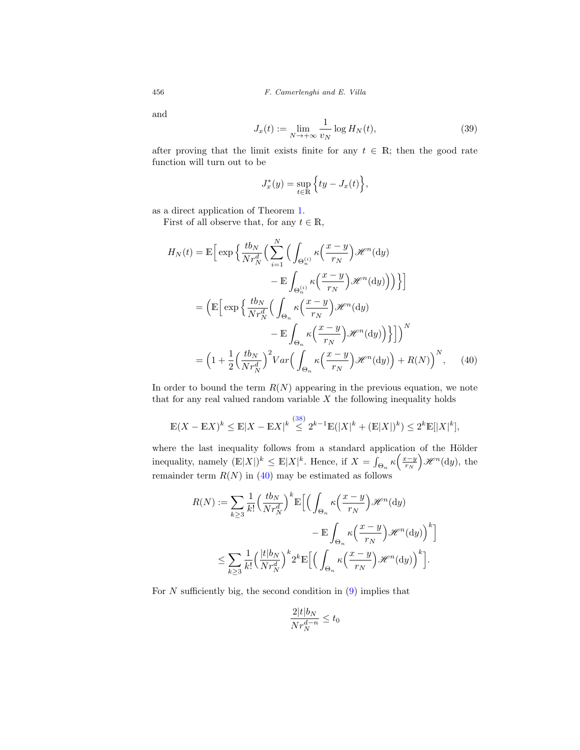and

<span id="page-29-1"></span>
$$
J_x(t) := \lim_{N \to +\infty} \frac{1}{v_N} \log H_N(t),\tag{39}
$$

after proving that the limit exists finite for any  $t \in \mathbb{R}$ ; then the good rate function will turn out to be

<span id="page-29-0"></span>
$$
J_x^*(y) = \sup_{t \in \mathbb{R}} \left\{ ty - J_x(t) \right\},\
$$

as a direct application of Theorem [1.](#page-5-0)

First of all observe that, for any  $t \in \mathbb{R}$ ,

$$
H_N(t) = \mathbb{E}\Big[\exp\Big\{\frac{tb_N}{Nr_N^d}\Big(\sum_{i=1}^N\Big(\int_{\Theta_n^{(i)}}\kappa\Big(\frac{x-y}{r_N}\Big)\mathcal{H}^n(\mathrm{d}y) - \mathbb{E}\int_{\Theta_n^{(i)}}\kappa\Big(\frac{x-y}{r_N}\Big)\mathcal{H}^n(\mathrm{d}y)\Big)\Big)\Big\}\Big]
$$
  

$$
= \Big(\mathbb{E}\Big[\exp\Big\{\frac{tb_N}{Nr_N^d}\Big(\int_{\Theta_n}\kappa\Big(\frac{x-y}{r_N}\Big)\mathcal{H}^n(\mathrm{d}y) - \mathbb{E}\int_{\Theta_n}\kappa\Big(\frac{x-y}{r_N}\Big)\mathcal{H}^n(\mathrm{d}y)\Big)\Big\}\Big]\Big)^N
$$
  

$$
= \Big(1 + \frac{1}{2}\Big(\frac{tb_N}{Nr_N^d}\Big)^2 Var\Big(\int_{\Theta_n}\kappa\Big(\frac{x-y}{r_N}\Big)\mathcal{H}^n(\mathrm{d}y)\Big) + R(N)\Big)^N, \quad (40)
$$

In order to bound the term  $R(N)$  appearing in the previous equation, we note that for any real valued random variable  $X$  the following inequality holds

$$
\mathbb{E}(X - \mathbb{E}X)^k \le \mathbb{E}|X - \mathbb{E}X|^k \stackrel{(38)}{\le} 2^{k-1}\mathbb{E}(|X|^k + (\mathbb{E}|X|)^k) \le 2^k \mathbb{E}(|X|^k),
$$

where the last inequality follows from a standard application of the Hölder inequality, namely  $(\mathbb{E}|X|)^k \leq \mathbb{E}|X|^k$ . Hence, if  $X = \int_{\Theta_n} \kappa \left(\frac{x-y}{r_N}\right) \mathcal{H}^n(\mathrm{d}y)$ , the remainder term  $R(N)$  in [\(40\)](#page-29-0) may be estimated as follows

$$
R(N) := \sum_{k\geq 3} \frac{1}{k!} \left(\frac{tb_N}{Nr_N^d}\right)^k \mathbb{E}\Big[\Big(\int_{\Theta_n} \kappa\Big(\frac{x-y}{r_N}\Big) \mathcal{H}^n(\mathrm{d}y) - \mathbb{E}\int_{\Theta_n} \kappa\Big(\frac{x-y}{r_N}\Big) \mathcal{H}^n(\mathrm{d}y)\Big)^k\Big]
$$
  

$$
\leq \sum_{k\geq 3} \frac{1}{k!} \left(\frac{|t|b_N}{Nr_N^d}\right)^k 2^k \mathbb{E}\Big[\Big(\int_{\Theta_n} \kappa\Big(\frac{x-y}{r_N}\Big) \mathcal{H}^n(\mathrm{d}y)\Big)^k\Big].
$$

For  $N$  sufficiently big, the second condition in  $(9)$  implies that

$$
\frac{2|t|b_N}{Nr_N^{d-n}} \le t_0
$$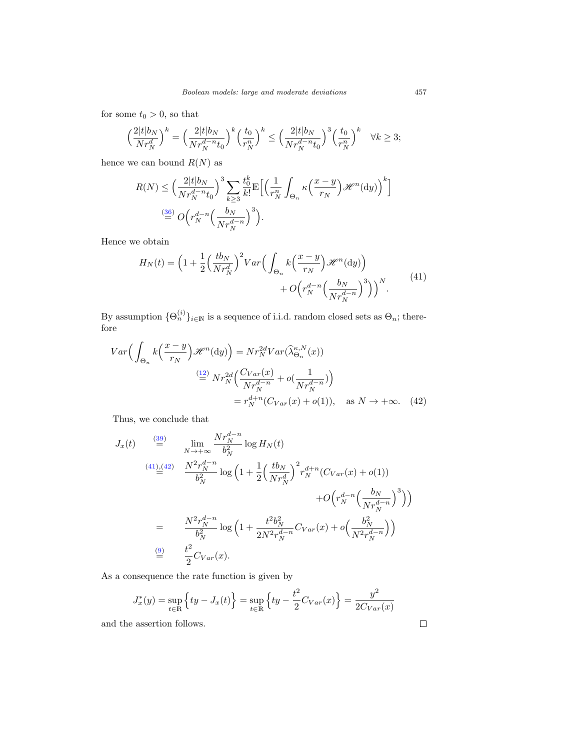for some  $t_0 > 0$ , so that

$$
\left(\frac{2|t|b_N}{Nr_N^d}\right)^k = \left(\frac{2|t|b_N}{Nr_N^{d-n}t_0}\right)^k \left(\frac{t_0}{r_N^n}\right)^k \le \left(\frac{2|t|b_N}{Nr_N^{d-n}t_0}\right)^3 \left(\frac{t_0}{r_N^n}\right)^k \quad \forall k \ge 3;
$$

hence we can bound  $R(N)$  as

$$
R(N) \leq \left(\frac{2|t|b_N}{Nr_N^{d-n}t_0}\right)^3 \sum_{k\geq 3} \frac{t_0^k}{k!} \mathbb{E}\Big[\Big(\frac{1}{r_N^n} \int_{\Theta_n} \kappa\Big(\frac{x-y}{r_N}\Big) \mathcal{H}^n(\mathrm{d}y)\Big)^k\Big]
$$
  

$$
\stackrel{(36)}{=} O\Big(r_N^{d-n} \Big(\frac{b_N}{Nr_N^{d-n}}\Big)^3\Big).
$$

<span id="page-30-0"></span>Hence we obtain

$$
H_N(t) = \left(1 + \frac{1}{2} \left(\frac{tb_N}{Nr_N^d}\right)^2 Var\left(\int_{\Theta_n} k\left(\frac{x-y}{r_N}\right) \mathcal{H}^n(\mathrm{d}y)\right) + O\left(r_N^{d-n}\left(\frac{b_N}{Nr_N^{d-n}}\right)^3\right)\right)^N.
$$
\n(41)

By assumption  $\{\Theta_n^{(i)}\}_{i\in\mathbb{N}}$  is a sequence of i.i.d. random closed sets as  $\Theta_n$ ; therefore

$$
Var\Big(\int_{\Theta_n} k\Big(\frac{x-y}{r_N}\Big) \mathcal{H}^n(\mathrm{d}y)\Big) = Nr_N^{2d}Var(\widehat{\lambda}_{\Theta_n}^{\kappa,N}(x))
$$

$$
\stackrel{(12)}{=} Nr_N^{2d}\Big(\frac{C_{Var}(x)}{Nr_N^{d-n}} + o(\frac{1}{Nr_N^{d-n}})\Big)
$$

$$
= r_N^{d+n}(C_{Var}(x) + o(1)), \quad \text{as } N \to +\infty. \tag{42}
$$

Thus, we conclude that

$$
J_x(t) \stackrel{\text{(39)}}{=} \lim_{N \to +\infty} \frac{Nr_N^{d-n}}{b_N^2} \log H_N(t)
$$
\n
$$
\stackrel{\text{(41),(42)}}{=} \frac{N^2 r_N^{d-n}}{b_N^2} \log \left(1 + \frac{1}{2} \left(\frac{tb_N}{Nr_N^d}\right)^2 r_N^{d+n} (C_{Var}(x) + o(1)) + O\left(r_N^{d-n} \left(\frac{b_N}{Nr_N^{d-n}}\right)^3\right)\right)
$$
\n
$$
= \frac{N^2 r_N^{d-n}}{b_N^2} \log \left(1 + \frac{t^2 b_N^2}{2N^2 r_N^{d-n}} C_{Var}(x) + o\left(\frac{b_N^2}{N^2 r_N^{d-n}}\right)\right)
$$
\n
$$
\stackrel{\text{(9)}}{=} \frac{t^2}{2} C_{Var}(x).
$$

As a consequence the rate function is given by

$$
J_x^*(y) = \sup_{t \in \mathbb{R}} \left\{ ty - J_x(t) \right\} = \sup_{t \in \mathbb{R}} \left\{ ty - \frac{t^2}{2} C_{Var}(x) \right\} = \frac{y^2}{2 C_{Var}(x)}
$$

and the assertion follows.

<span id="page-30-1"></span> $\Box$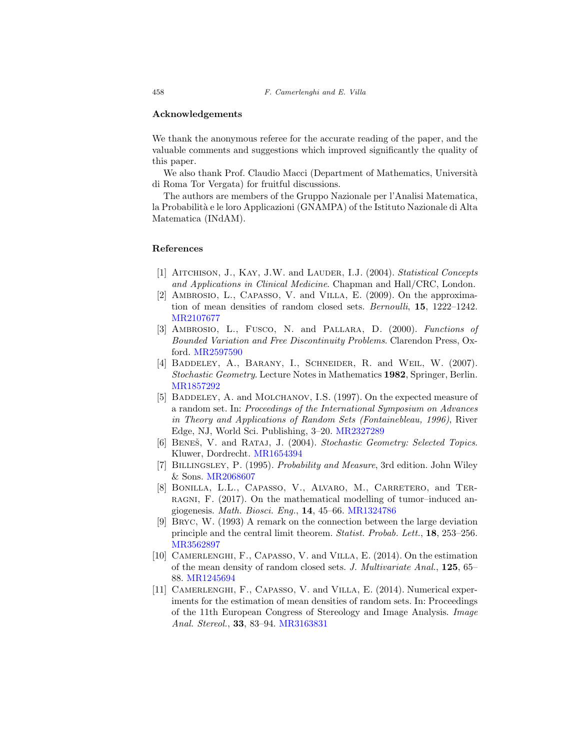#### <span id="page-31-0"></span>**Acknowledgements**

We thank the anonymous referee for the accurate reading of the paper, and the valuable comments and suggestions which improved significantly the quality of this paper.

We also thank Prof. Claudio Macci (Department of Mathematics, Università di Roma Tor Vergata) for fruitful discussions.

The authors are members of the Gruppo Nazionale per l'Analisi Matematica, la Probabilità e le loro Applicazioni (GNAMPA) of the Istituto Nazionale di Alta Matematica (INdAM).

#### <span id="page-31-1"></span>**References**

- <span id="page-31-3"></span>[1] AITCHISON, J., KAY, J.W. and LAUDER, I.J. (2004). Statistical Concepts and Applications in Clinical Medicine. Chapman and Hall/CRC, London.
- <span id="page-31-6"></span>[2] AMBROSIO, L., CAPASSO, V. and VILLA, E. (2009). On the approximation of mean densities of random closed sets. Bernoulli, **15**, 1222–1242. [MR2107677](http://www.ams.org/mathscinet-getitem?mr=2107677)
- <span id="page-31-7"></span>[3] Ambrosio, L., Fusco, N. and Pallara, D. (2000). Functions of Bounded Variation and Free Discontinuity Problems. Clarendon Press, Oxford. [MR2597590](http://www.ams.org/mathscinet-getitem?mr=2597590)
- <span id="page-31-10"></span>[4] BADDELEY, A., BARANY, I., SCHNEIDER, R. and WEIL, W. (2007). Stochastic Geometry. Lecture Notes in Mathematics **1982**, Springer, Berlin. [MR1857292](http://www.ams.org/mathscinet-getitem?mr=1857292)
- <span id="page-31-5"></span>[5] BADDELEY, A. and MOLCHANOV, I.S. (1997). On the expected measure of a random set. In: Proceedings of the International Symposium on Advances in Theory and Applications of Random Sets (Fontainebleau, 1996), River Edge, NJ, World Sci. Publishing, 3–20. [MR2327289](http://www.ams.org/mathscinet-getitem?mr=2327289)
- <span id="page-31-2"></span>[6] BENEŠ, V. and RATAJ, J. (2004). Stochastic Geometry: Selected Topics. Kluwer, Dordrecht. [MR1654394](http://www.ams.org/mathscinet-getitem?mr=1654394)
- <span id="page-31-12"></span>[7] Billingsley, P. (1995). Probability and Measure, 3rd edition. John Wiley & Sons. [MR2068607](http://www.ams.org/mathscinet-getitem?mr=2068607)
- <span id="page-31-4"></span>[8] Bonilla, L.L., Capasso, V., Alvaro, M., Carretero, and Terragni, F. (2017). On the mathematical modelling of tumor–induced angiogenesis. Math. Biosci. Eng., **14**, 45–66. [MR1324786](http://www.ams.org/mathscinet-getitem?mr=1324786)
- <span id="page-31-11"></span>[9] Bryc, W. (1993) A remark on the connection between the large deviation principle and the central limit theorem. Statist. Probab. Lett., **18**, 253–256. [MR3562897](http://www.ams.org/mathscinet-getitem?mr=3562897)
- <span id="page-31-8"></span>[10] CAMERLENGHI, F., CAPASSO, V. and VILLA, E. (2014). On the estimation of the mean density of random closed sets. J. Multivariate Anal., **125**, 65– 88. [MR1245694](http://www.ams.org/mathscinet-getitem?mr=1245694)
- <span id="page-31-9"></span>[11] Camerlenghi, F., Capasso, V. and Villa, E. (2014). Numerical experiments for the estimation of mean densities of random sets. In: Proceedings of the 11th European Congress of Stereology and Image Analysis. Image Anal. Stereol., **33**, 83–94. [MR3163831](http://www.ams.org/mathscinet-getitem?mr=3163831)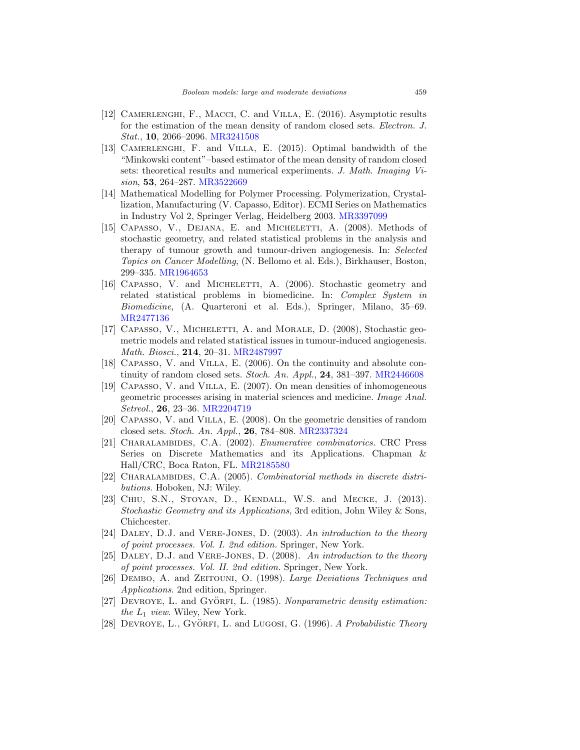- <span id="page-32-13"></span>[12] CAMERLENGHI, F., MACCI, C. and VILLA, E. (2016). Asymptotic results for the estimation of the mean density of random closed sets. Electron. J. Stat., **10**, 2066–2096. [MR3241508](http://www.ams.org/mathscinet-getitem?mr=3241508)
- <span id="page-32-9"></span>[13] Camerlenghi, F. and Villa, E. (2015). Optimal bandwidth of the "Minkowski content"–based estimator of the mean density of random closed sets: theoretical results and numerical experiments. J. Math. Imaging Vision, **53**, 264–287. [MR3522669](http://www.ams.org/mathscinet-getitem?mr=3522669)
- <span id="page-32-5"></span>[14] Mathematical Modelling for Polymer Processing. Polymerization, Crystallization, Manufacturing (V. Capasso, Editor). ECMI Series on Mathematics in Industry Vol 2, Springer Verlag, Heidelberg 2003. [MR3397099](http://www.ams.org/mathscinet-getitem?mr=3397099)
- <span id="page-32-2"></span>[15] CAPASSO, V., DEJANA, E. and MICHELETTI, A. (2008). Methods of stochastic geometry, and related statistical problems in the analysis and therapy of tumour growth and tumour-driven angiogenesis. In: Selected Topics on Cancer Modelling, (N. Bellomo et al. Eds.), Birkhauser, Boston, 299–335. [MR1964653](http://www.ams.org/mathscinet-getitem?mr=1964653)
- <span id="page-32-3"></span>[16] CAPASSO, V. and MICHELETTI, A. (2006). Stochastic geometry and related statistical problems in biomedicine. In: Complex System in Biomedicine, (A. Quarteroni et al. Eds.), Springer, Milano, 35–69. [MR2477136](http://www.ams.org/mathscinet-getitem?mr=2477136)
- <span id="page-32-4"></span>[17] CAPASSO, V., MICHELETTI, A. and MORALE, D. (2008), Stochastic geometric models and related statistical issues in tumour-induced angiogenesis. Math. Biosci., **214**, 20–31. [MR2487997](http://www.ams.org/mathscinet-getitem?mr=2487997)
- <span id="page-32-6"></span>[18] CAPASSO, V. and VILLA, E. (2006). On the continuity and absolute continuity of random closed sets. Stoch. An. Appl., **24**, 381–397. [MR2446608](http://www.ams.org/mathscinet-getitem?mr=2446608)
- <span id="page-32-0"></span>[19] CAPASSO, V. and VILLA, E. (2007). On mean densities of inhomogeneous geometric processes arising in material sciences and medicine. Image Anal. Setreol., **26**, 23–36. [MR2204719](http://www.ams.org/mathscinet-getitem?mr=2204719)
- <span id="page-32-7"></span>[20] Capasso, V. and Villa, E. (2008). On the geometric densities of random closed sets. Stoch. An. Appl., **26**, 784–808. [MR2337324](http://www.ams.org/mathscinet-getitem?mr=2337324)
- <span id="page-32-15"></span>[21] CHARALAMBIDES, C.A. (2002). *Enumerative combinatorics*. CRC Press Series on Discrete Mathematics and its Applications. Chapman & Hall/CRC, Boca Raton, FL. [MR2185580](http://www.ams.org/mathscinet-getitem?mr=2185580)
- <span id="page-32-16"></span>[22] CHARALAMBIDES, C.A. (2005). Combinatorial methods in discrete distributions. Hoboken, NJ: Wiley.
- <span id="page-32-8"></span>[23] CHIU, S.N., STOYAN, D., KENDALL, W.S. and MECKE, J. (2013). Stochastic Geometry and its Applications, 3rd edition, John Wiley & Sons, Chichcester.
- <span id="page-32-10"></span>[24] DALEY, D.J. and VERE-JONES, D. (2003). An introduction to the theory of point processes. Vol. I. 2nd edition. Springer, New York.
- <span id="page-32-11"></span>[25] DALEY, D.J. and VERE-JONES, D. (2008). An introduction to the theory of point processes. Vol. II. 2nd edition. Springer, New York.
- <span id="page-32-12"></span>[26] DEMBO, A. and ZEITOUNI, O. (1998). Large Deviations Techniques and Applications. 2nd edition, Springer.
- <span id="page-32-14"></span>[27] DEVROYE, L. and GYÖRFI, L. (1985). Nonparametric density estimation: the  $L_1$  view. Wiley, New York.
- <span id="page-32-1"></span>[28] DEVROYE, L., GYÖRFI, L. and LUGOSI, G. (1996). A Probabilistic Theory